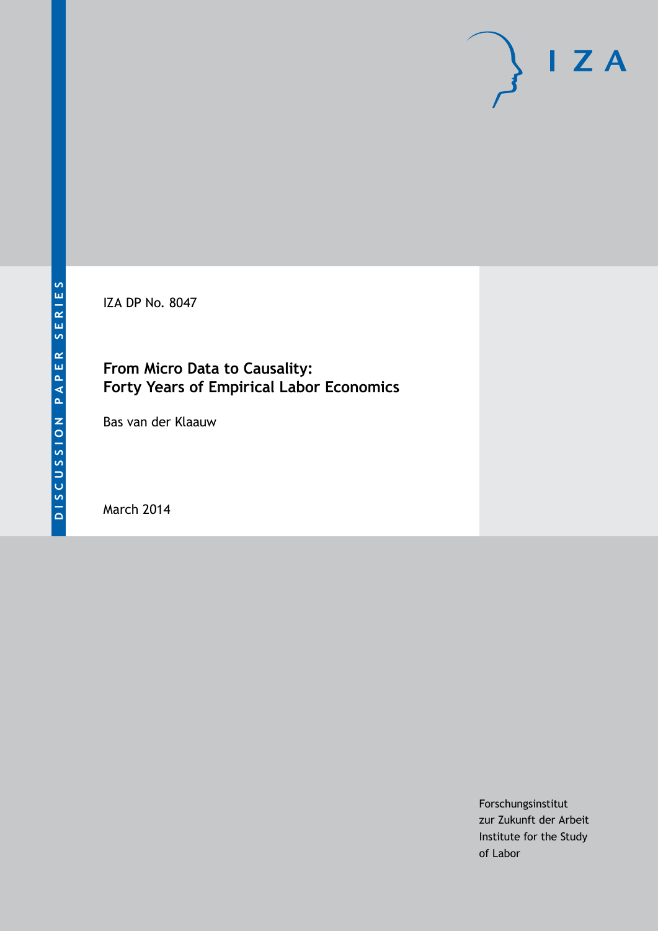IZA DP No. 8047

## **From Micro Data to Causality: Forty Years of Empirical Labor Economics**

Bas van der Klaauw

March 2014

Forschungsinstitut zur Zukunft der Arbeit Institute for the Study of Labor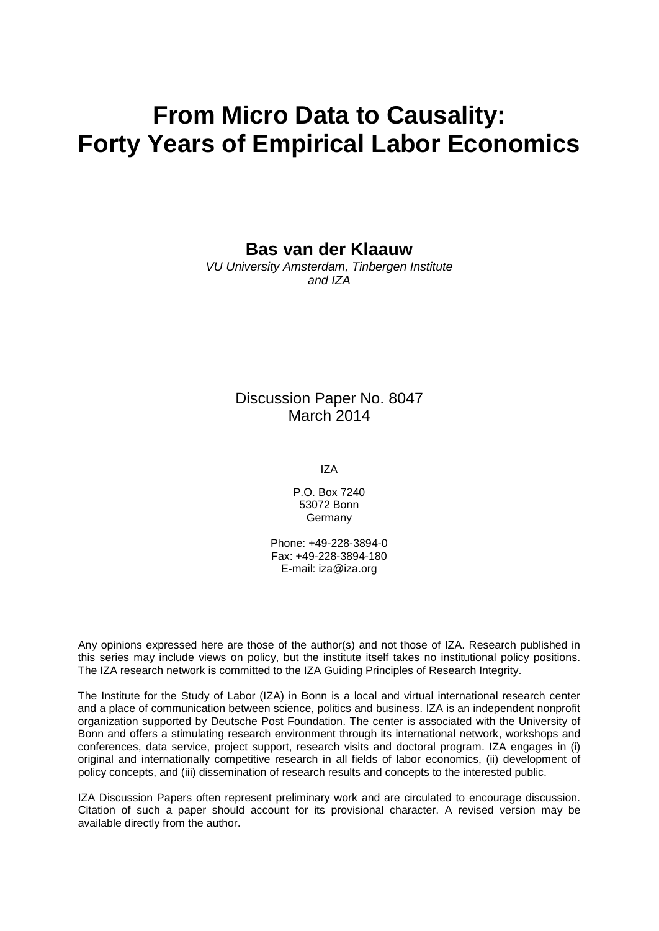# **From Micro Data to Causality: Forty Years of Empirical Labor Economics**

**Bas van der Klaauw**

*VU University Amsterdam, Tinbergen Institute and IZA*

#### Discussion Paper No. 8047 March 2014

IZA

P.O. Box 7240 53072 Bonn Germany

Phone: +49-228-3894-0 Fax: +49-228-3894-180 E-mail: [iza@iza.org](mailto:iza@iza.org)

Any opinions expressed here are those of the author(s) and not those of IZA. Research published in this series may include views on policy, but the institute itself takes no institutional policy positions. The IZA research network is committed to the IZA Guiding Principles of Research Integrity.

The Institute for the Study of Labor (IZA) in Bonn is a local and virtual international research center and a place of communication between science, politics and business. IZA is an independent nonprofit organization supported by Deutsche Post Foundation. The center is associated with the University of Bonn and offers a stimulating research environment through its international network, workshops and conferences, data service, project support, research visits and doctoral program. IZA engages in (i) original and internationally competitive research in all fields of labor economics, (ii) development of policy concepts, and (iii) dissemination of research results and concepts to the interested public.

<span id="page-1-0"></span>IZA Discussion Papers often represent preliminary work and are circulated to encourage discussion. Citation of such a paper should account for its provisional character. A revised version may be available directly from the author.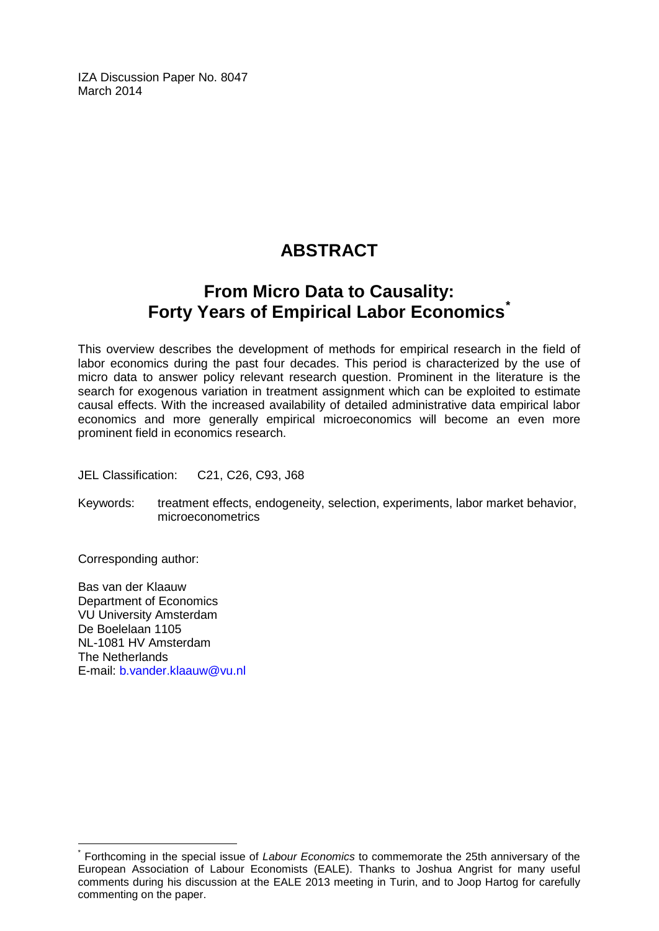IZA Discussion Paper No. 8047 March 2014

## **ABSTRACT**

## **From Micro Data to Causality: Forty Years of Empirical Labor Economics[\\*](#page-1-0)**

This overview describes the development of methods for empirical research in the field of labor economics during the past four decades. This period is characterized by the use of micro data to answer policy relevant research question. Prominent in the literature is the search for exogenous variation in treatment assignment which can be exploited to estimate causal effects. With the increased availability of detailed administrative data empirical labor economics and more generally empirical microeconomics will become an even more prominent field in economics research.

JEL Classification: C21, C26, C93, J68

Keywords: treatment effects, endogeneity, selection, experiments, labor market behavior, microeconometrics

Corresponding author:

Bas van der Klaauw Department of Economics VU University Amsterdam De Boelelaan 1105 NL-1081 HV Amsterdam The Netherlands E-mail: [b.vander.klaauw@vu.nl](mailto:b.vander.klaauw@vu.nl)

\* Forthcoming in the special issue of *Labour Economics* to commemorate the 25th anniversary of the European Association of Labour Economists (EALE). Thanks to Joshua Angrist for many useful comments during his discussion at the EALE 2013 meeting in Turin, and to Joop Hartog for carefully commenting on the paper.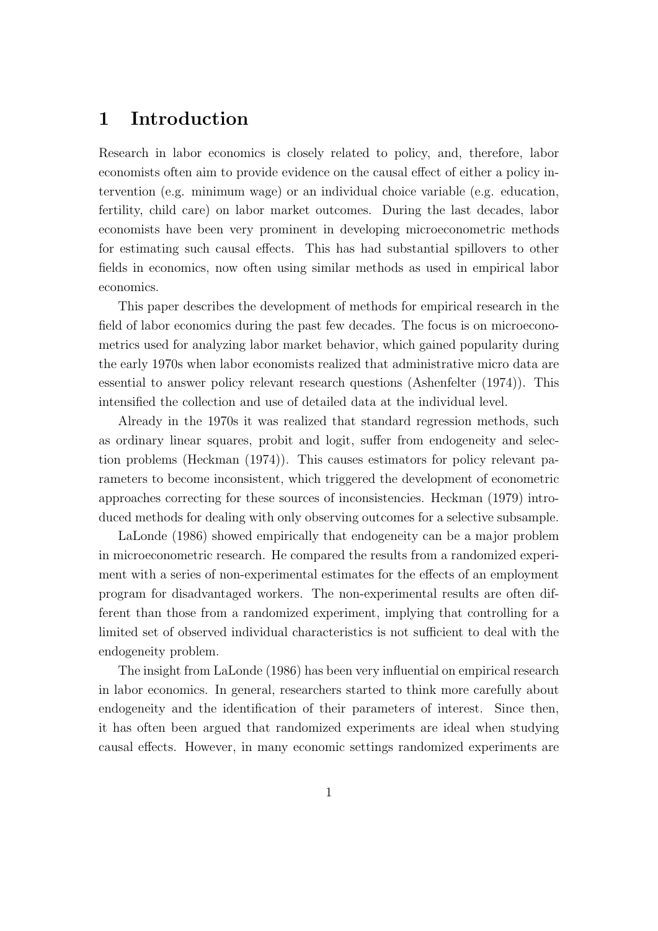## 1 Introduction

Research in labor economics is closely related to policy, and, therefore, labor economists often aim to provide evidence on the causal effect of either a policy intervention (e.g. minimum wage) or an individual choice variable (e.g. education, fertility, child care) on labor market outcomes. During the last decades, labor economists have been very prominent in developing microeconometric methods for estimating such causal effects. This has had substantial spillovers to other fields in economics, now often using similar methods as used in empirical labor economics.

This paper describes the development of methods for empirical research in the field of labor economics during the past few decades. The focus is on microeconometrics used for analyzing labor market behavior, which gained popularity during the early 1970s when labor economists realized that administrative micro data are essential to answer policy relevant research questions (Ashenfelter (1974)). This intensified the collection and use of detailed data at the individual level.

Already in the 1970s it was realized that standard regression methods, such as ordinary linear squares, probit and logit, suffer from endogeneity and selection problems (Heckman (1974)). This causes estimators for policy relevant parameters to become inconsistent, which triggered the development of econometric approaches correcting for these sources of inconsistencies. Heckman (1979) introduced methods for dealing with only observing outcomes for a selective subsample.

LaLonde (1986) showed empirically that endogeneity can be a major problem in microeconometric research. He compared the results from a randomized experiment with a series of non-experimental estimates for the effects of an employment program for disadvantaged workers. The non-experimental results are often different than those from a randomized experiment, implying that controlling for a limited set of observed individual characteristics is not sufficient to deal with the endogeneity problem.

The insight from LaLonde (1986) has been very influential on empirical research in labor economics. In general, researchers started to think more carefully about endogeneity and the identification of their parameters of interest. Since then, it has often been argued that randomized experiments are ideal when studying causal effects. However, in many economic settings randomized experiments are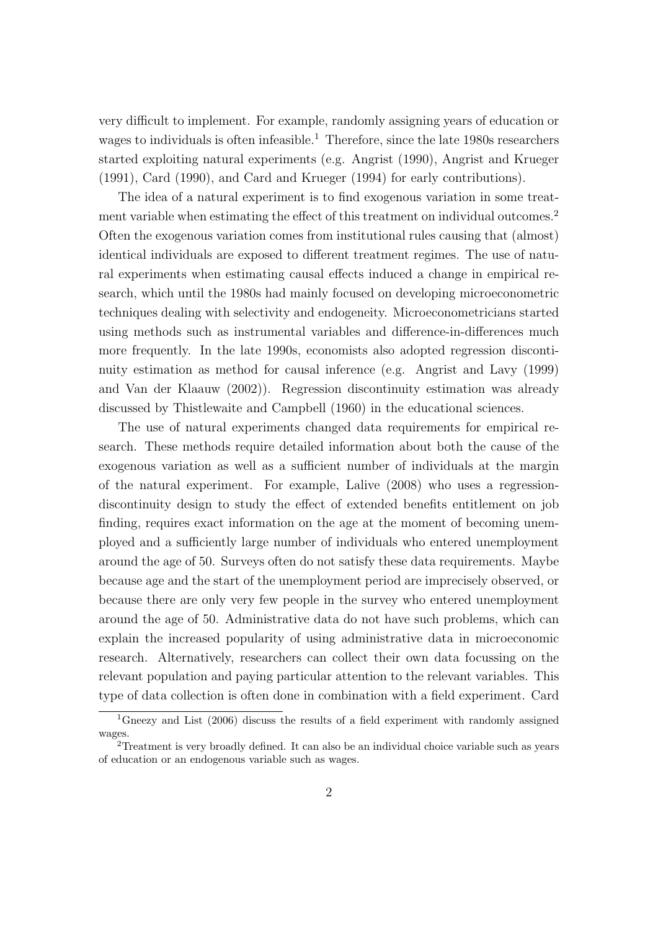very difficult to implement. For example, randomly assigning years of education or wages to individuals is often infeasible.<sup>1</sup> Therefore, since the late 1980s researchers started exploiting natural experiments (e.g. Angrist (1990), Angrist and Krueger (1991), Card (1990), and Card and Krueger (1994) for early contributions).

The idea of a natural experiment is to find exogenous variation in some treatment variable when estimating the effect of this treatment on individual outcomes.<sup>2</sup> Often the exogenous variation comes from institutional rules causing that (almost) identical individuals are exposed to different treatment regimes. The use of natural experiments when estimating causal effects induced a change in empirical research, which until the 1980s had mainly focused on developing microeconometric techniques dealing with selectivity and endogeneity. Microeconometricians started using methods such as instrumental variables and difference-in-differences much more frequently. In the late 1990s, economists also adopted regression discontinuity estimation as method for causal inference (e.g. Angrist and Lavy (1999) and Van der Klaauw (2002)). Regression discontinuity estimation was already discussed by Thistlewaite and Campbell (1960) in the educational sciences.

The use of natural experiments changed data requirements for empirical research. These methods require detailed information about both the cause of the exogenous variation as well as a sufficient number of individuals at the margin of the natural experiment. For example, Lalive (2008) who uses a regressiondiscontinuity design to study the effect of extended benefits entitlement on job finding, requires exact information on the age at the moment of becoming unemployed and a sufficiently large number of individuals who entered unemployment around the age of 50. Surveys often do not satisfy these data requirements. Maybe because age and the start of the unemployment period are imprecisely observed, or because there are only very few people in the survey who entered unemployment around the age of 50. Administrative data do not have such problems, which can explain the increased popularity of using administrative data in microeconomic research. Alternatively, researchers can collect their own data focussing on the relevant population and paying particular attention to the relevant variables. This type of data collection is often done in combination with a field experiment. Card

<sup>&</sup>lt;sup>1</sup>Gneezy and List (2006) discuss the results of a field experiment with randomly assigned wages.

<sup>2</sup>Treatment is very broadly defined. It can also be an individual choice variable such as years of education or an endogenous variable such as wages.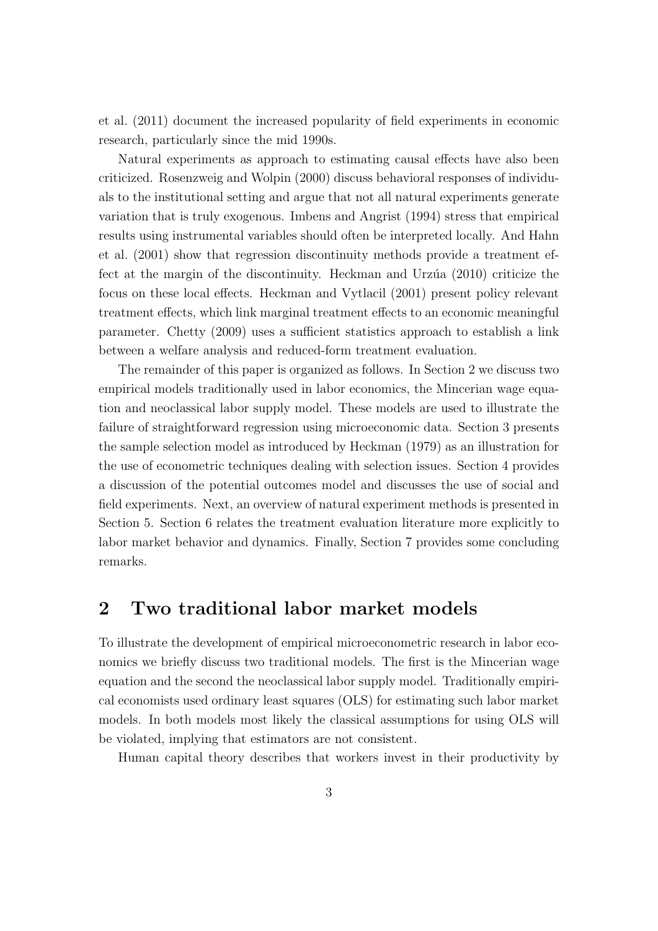et al. (2011) document the increased popularity of field experiments in economic research, particularly since the mid 1990s.

Natural experiments as approach to estimating causal effects have also been criticized. Rosenzweig and Wolpin (2000) discuss behavioral responses of individuals to the institutional setting and argue that not all natural experiments generate variation that is truly exogenous. Imbens and Angrist (1994) stress that empirical results using instrumental variables should often be interpreted locally. And Hahn et al. (2001) show that regression discontinuity methods provide a treatment effect at the margin of the discontinuity. Heckman and Urzúa (2010) criticize the focus on these local effects. Heckman and Vytlacil (2001) present policy relevant treatment effects, which link marginal treatment effects to an economic meaningful parameter. Chetty (2009) uses a sufficient statistics approach to establish a link between a welfare analysis and reduced-form treatment evaluation.

The remainder of this paper is organized as follows. In Section 2 we discuss two empirical models traditionally used in labor economics, the Mincerian wage equation and neoclassical labor supply model. These models are used to illustrate the failure of straightforward regression using microeconomic data. Section 3 presents the sample selection model as introduced by Heckman (1979) as an illustration for the use of econometric techniques dealing with selection issues. Section 4 provides a discussion of the potential outcomes model and discusses the use of social and field experiments. Next, an overview of natural experiment methods is presented in Section 5. Section 6 relates the treatment evaluation literature more explicitly to labor market behavior and dynamics. Finally, Section 7 provides some concluding remarks.

### 2 Two traditional labor market models

To illustrate the development of empirical microeconometric research in labor economics we briefly discuss two traditional models. The first is the Mincerian wage equation and the second the neoclassical labor supply model. Traditionally empirical economists used ordinary least squares (OLS) for estimating such labor market models. In both models most likely the classical assumptions for using OLS will be violated, implying that estimators are not consistent.

Human capital theory describes that workers invest in their productivity by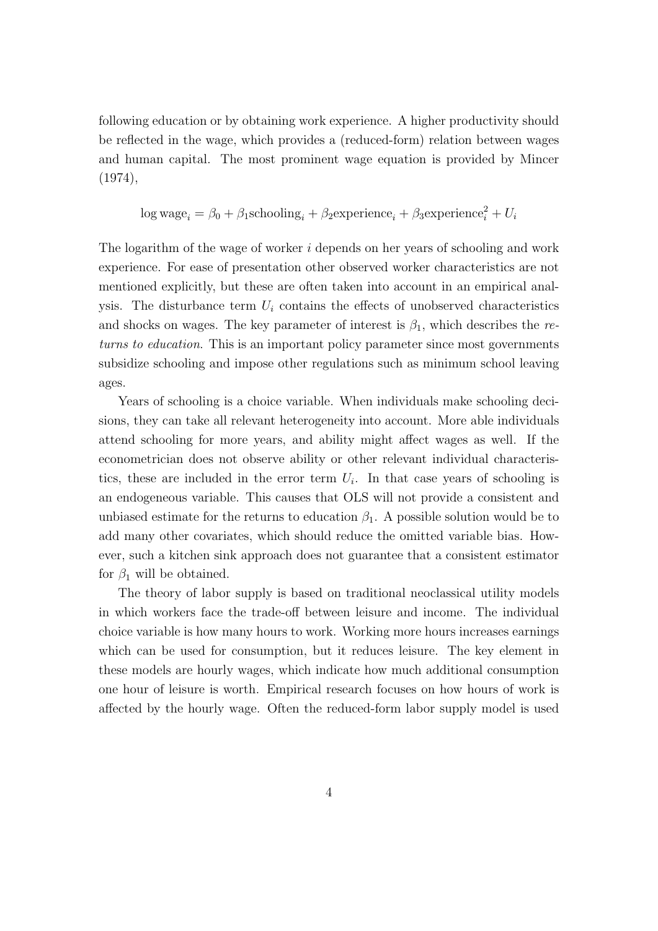following education or by obtaining work experience. A higher productivity should be reflected in the wage, which provides a (reduced-form) relation between wages and human capital. The most prominent wage equation is provided by Mincer (1974),

$$
\log \text{wage}_i = \beta_0 + \beta_1 \text{schooling}_i + \beta_2 \text{experimente}_i + \beta_3 \text{experimente}_i^2 + U_i
$$

The logarithm of the wage of worker i depends on her years of schooling and work experience. For ease of presentation other observed worker characteristics are not mentioned explicitly, but these are often taken into account in an empirical analysis. The disturbance term  $U_i$  contains the effects of unobserved characteristics and shocks on wages. The key parameter of interest is  $\beta_1$ , which describes the returns to education. This is an important policy parameter since most governments subsidize schooling and impose other regulations such as minimum school leaving ages.

Years of schooling is a choice variable. When individuals make schooling decisions, they can take all relevant heterogeneity into account. More able individuals attend schooling for more years, and ability might affect wages as well. If the econometrician does not observe ability or other relevant individual characteristics, these are included in the error term  $U_i$ . In that case years of schooling is an endogeneous variable. This causes that OLS will not provide a consistent and unbiased estimate for the returns to education  $\beta_1$ . A possible solution would be to add many other covariates, which should reduce the omitted variable bias. However, such a kitchen sink approach does not guarantee that a consistent estimator for  $\beta_1$  will be obtained.

The theory of labor supply is based on traditional neoclassical utility models in which workers face the trade-off between leisure and income. The individual choice variable is how many hours to work. Working more hours increases earnings which can be used for consumption, but it reduces leisure. The key element in these models are hourly wages, which indicate how much additional consumption one hour of leisure is worth. Empirical research focuses on how hours of work is affected by the hourly wage. Often the reduced-form labor supply model is used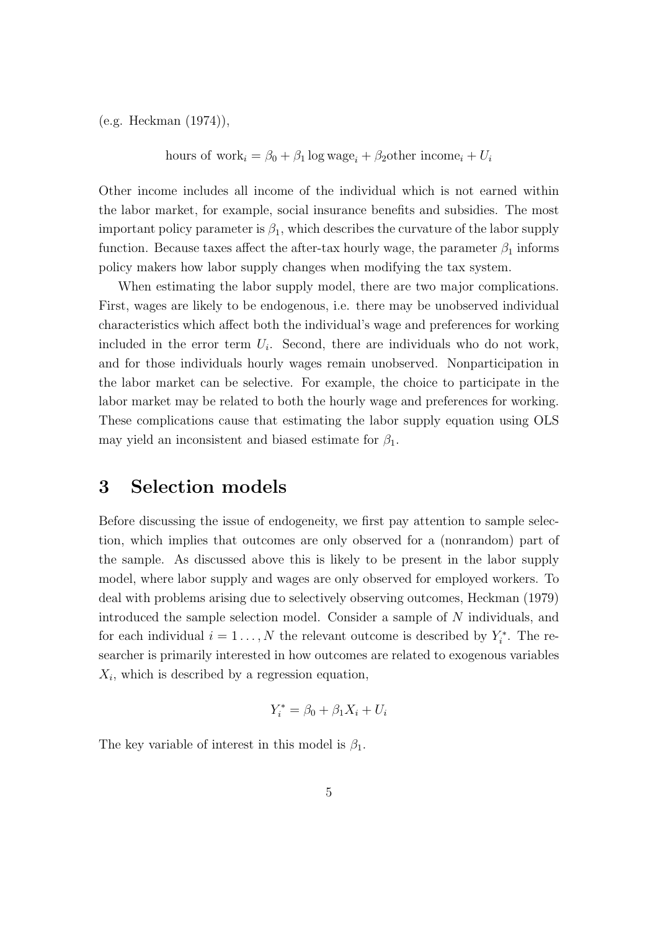(e.g. Heckman (1974)),

hours of work<sub>i</sub> = 
$$
\beta_0 + \beta_1 \log \text{wage}_i + \beta_2 \text{other income}_i + U_i
$$

Other income includes all income of the individual which is not earned within the labor market, for example, social insurance benefits and subsidies. The most important policy parameter is  $\beta_1$ , which describes the curvature of the labor supply function. Because taxes affect the after-tax hourly wage, the parameter  $\beta_1$  informs policy makers how labor supply changes when modifying the tax system.

When estimating the labor supply model, there are two major complications. First, wages are likely to be endogenous, i.e. there may be unobserved individual characteristics which affect both the individual's wage and preferences for working included in the error term  $U_i$ . Second, there are individuals who do not work, and for those individuals hourly wages remain unobserved. Nonparticipation in the labor market can be selective. For example, the choice to participate in the labor market may be related to both the hourly wage and preferences for working. These complications cause that estimating the labor supply equation using OLS may yield an inconsistent and biased estimate for  $\beta_1$ .

### 3 Selection models

Before discussing the issue of endogeneity, we first pay attention to sample selection, which implies that outcomes are only observed for a (nonrandom) part of the sample. As discussed above this is likely to be present in the labor supply model, where labor supply and wages are only observed for employed workers. To deal with problems arising due to selectively observing outcomes, Heckman (1979) introduced the sample selection model. Consider a sample of N individuals, and for each individual  $i = 1 \ldots, N$  the relevant outcome is described by  $Y_i^*$ . The researcher is primarily interested in how outcomes are related to exogenous variables  $X_i$ , which is described by a regression equation,

$$
Y_i^* = \beta_0 + \beta_1 X_i + U_i
$$

The key variable of interest in this model is  $\beta_1$ .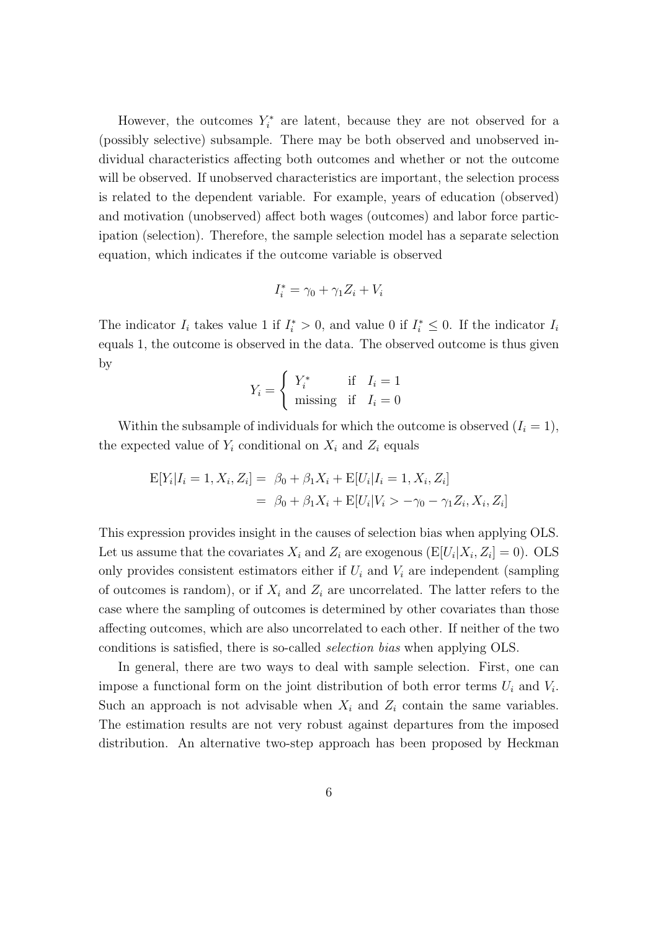However, the outcomes  $Y_i^*$  are latent, because they are not observed for a (possibly selective) subsample. There may be both observed and unobserved individual characteristics affecting both outcomes and whether or not the outcome will be observed. If unobserved characteristics are important, the selection process is related to the dependent variable. For example, years of education (observed) and motivation (unobserved) affect both wages (outcomes) and labor force participation (selection). Therefore, the sample selection model has a separate selection equation, which indicates if the outcome variable is observed

$$
I_i^* = \gamma_0 + \gamma_1 Z_i + V_i
$$

The indicator  $I_i$  takes value 1 if  $I_i^* > 0$ , and value 0 if  $I_i^* \leq 0$ . If the indicator  $I_i$ equals 1, the outcome is observed in the data. The observed outcome is thus given by

$$
Y_i = \begin{cases} Y_i^* & \text{if } I_i = 1\\ \text{missing} & \text{if } I_i = 0 \end{cases}
$$

Within the subsample of individuals for which the outcome is observed  $(I_i = 1)$ , the expected value of  $Y_i$  conditional on  $X_i$  and  $Z_i$  equals

$$
E[Y_i|I_i = 1, X_i, Z_i] = \beta_0 + \beta_1 X_i + E[U_i|I_i = 1, X_i, Z_i]
$$
  
=  $\beta_0 + \beta_1 X_i + E[U_i|V_i > -\gamma_0 - \gamma_1 Z_i, X_i, Z_i]$ 

This expression provides insight in the causes of selection bias when applying OLS. Let us assume that the covariates  $X_i$  and  $Z_i$  are exogenous  $(E[U_i|X_i, Z_i] = 0)$ . OLS only provides consistent estimators either if  $U_i$  and  $V_i$  are independent (sampling of outcomes is random), or if  $X_i$  and  $Z_i$  are uncorrelated. The latter refers to the case where the sampling of outcomes is determined by other covariates than those affecting outcomes, which are also uncorrelated to each other. If neither of the two conditions is satisfied, there is so-called selection bias when applying OLS.

In general, there are two ways to deal with sample selection. First, one can impose a functional form on the joint distribution of both error terms  $U_i$  and  $V_i$ . Such an approach is not advisable when  $X_i$  and  $Z_i$  contain the same variables. The estimation results are not very robust against departures from the imposed distribution. An alternative two-step approach has been proposed by Heckman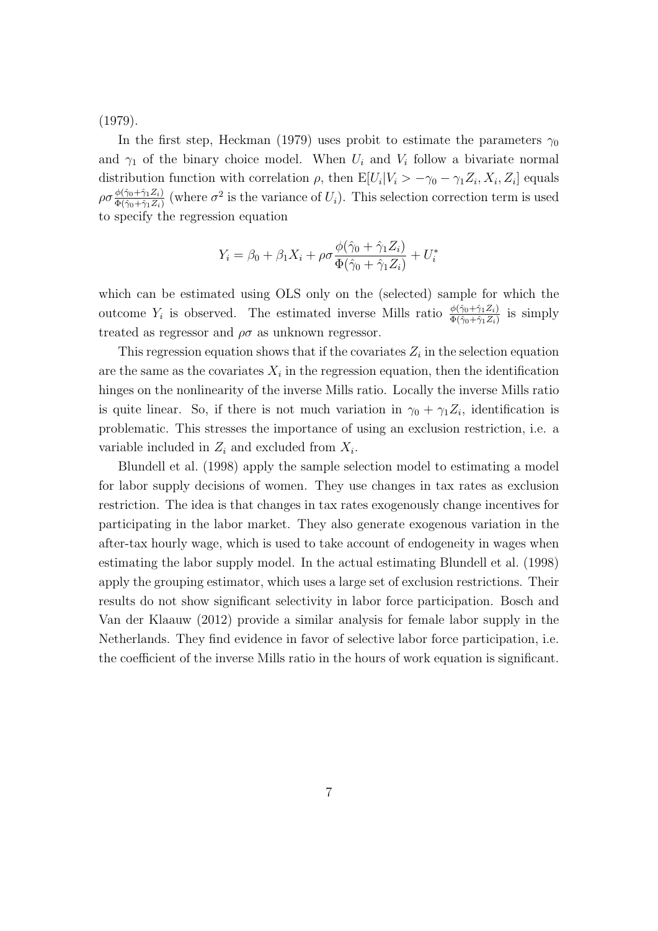(1979).

In the first step, Heckman (1979) uses probit to estimate the parameters  $\gamma_0$ and  $\gamma_1$  of the binary choice model. When  $U_i$  and  $V_i$  follow a bivariate normal distribution function with correlation  $\rho$ , then  $E[U_i|V_i\rangle - \gamma_0 - \gamma_1 Z_i, X_i, Z_i]$  equals  $\rho \sigma \frac{\phi(\hat{\gamma}_0 + \hat{\gamma}_1 Z_i)}{\Phi(\hat{\gamma}_0 + \hat{\gamma}_1 Z_i)}$  $\frac{\phi(\hat{\gamma}_0+\hat{\gamma}_1Z_i)}{\Phi(\hat{\gamma}_0+\hat{\gamma}_1Z_i)}$  (where  $\sigma^2$  is the variance of  $U_i$ ). This selection correction term is used to specify the regression equation

$$
Y_i = \beta_0 + \beta_1 X_i + \rho \sigma \frac{\phi(\hat{\gamma}_0 + \hat{\gamma}_1 Z_i)}{\Phi(\hat{\gamma}_0 + \hat{\gamma}_1 Z_i)} + U_i^*
$$

which can be estimated using OLS only on the (selected) sample for which the outcome  $Y_i$  is observed. The estimated inverse Mills ratio  $\frac{\phi(\hat{\gamma}_0 + \hat{\gamma}_1 Z_i)}{\Phi(\hat{\gamma}_0 + \hat{\gamma}_1 Z_i)}$  is simply treated as regressor and  $\rho\sigma$  as unknown regressor.

This regression equation shows that if the covariates  $Z_i$  in the selection equation are the same as the covariates  $X_i$  in the regression equation, then the identification hinges on the nonlinearity of the inverse Mills ratio. Locally the inverse Mills ratio is quite linear. So, if there is not much variation in  $\gamma_0 + \gamma_1 Z_i$ , identification is problematic. This stresses the importance of using an exclusion restriction, i.e. a variable included in  $Z_i$  and excluded from  $X_i$ .

Blundell et al. (1998) apply the sample selection model to estimating a model for labor supply decisions of women. They use changes in tax rates as exclusion restriction. The idea is that changes in tax rates exogenously change incentives for participating in the labor market. They also generate exogenous variation in the after-tax hourly wage, which is used to take account of endogeneity in wages when estimating the labor supply model. In the actual estimating Blundell et al. (1998) apply the grouping estimator, which uses a large set of exclusion restrictions. Their results do not show significant selectivity in labor force participation. Bosch and Van der Klaauw (2012) provide a similar analysis for female labor supply in the Netherlands. They find evidence in favor of selective labor force participation, i.e. the coefficient of the inverse Mills ratio in the hours of work equation is significant.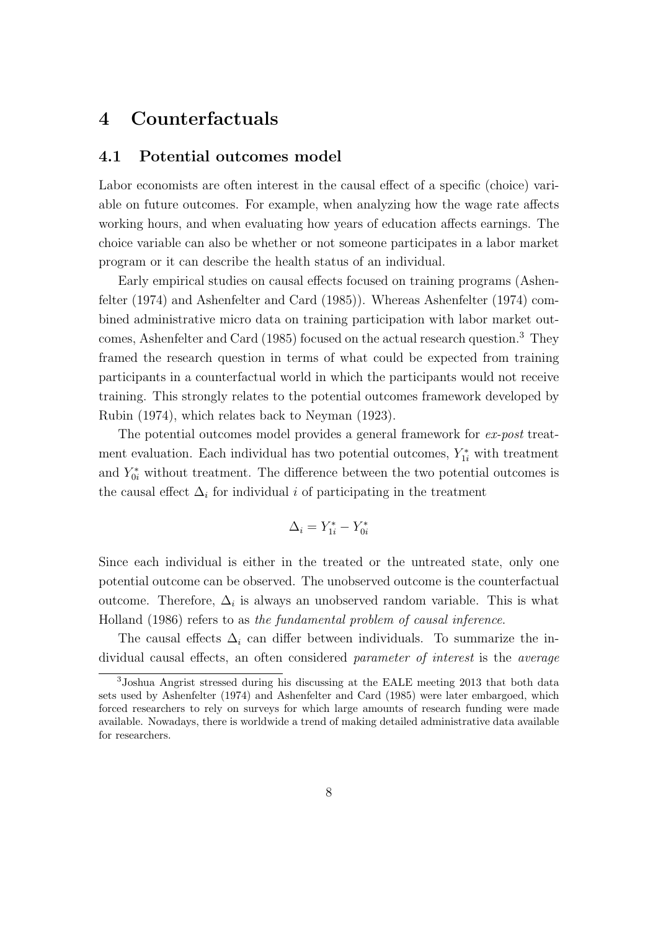## 4 Counterfactuals

#### 4.1 Potential outcomes model

Labor economists are often interest in the causal effect of a specific (choice) variable on future outcomes. For example, when analyzing how the wage rate affects working hours, and when evaluating how years of education affects earnings. The choice variable can also be whether or not someone participates in a labor market program or it can describe the health status of an individual.

Early empirical studies on causal effects focused on training programs (Ashenfelter (1974) and Ashenfelter and Card (1985)). Whereas Ashenfelter (1974) combined administrative micro data on training participation with labor market outcomes, Ashenfelter and Card (1985) focused on the actual research question.<sup>3</sup> They framed the research question in terms of what could be expected from training participants in a counterfactual world in which the participants would not receive training. This strongly relates to the potential outcomes framework developed by Rubin (1974), which relates back to Neyman (1923).

The potential outcomes model provides a general framework for ex-post treatment evaluation. Each individual has two potential outcomes,  $Y_{1i}^*$  with treatment and  $Y_{0i}^*$  without treatment. The difference between the two potential outcomes is the causal effect  $\Delta_i$  for individual i of participating in the treatment

$$
\Delta_i = Y_{1i}^* - Y_{0i}^*
$$

Since each individual is either in the treated or the untreated state, only one potential outcome can be observed. The unobserved outcome is the counterfactual outcome. Therefore,  $\Delta_i$  is always an unobserved random variable. This is what Holland (1986) refers to as the fundamental problem of causal inference.

The causal effects  $\Delta_i$  can differ between individuals. To summarize the individual causal effects, an often considered parameter of interest is the average

<sup>3</sup>Joshua Angrist stressed during his discussing at the EALE meeting 2013 that both data sets used by Ashenfelter (1974) and Ashenfelter and Card (1985) were later embargoed, which forced researchers to rely on surveys for which large amounts of research funding were made available. Nowadays, there is worldwide a trend of making detailed administrative data available for researchers.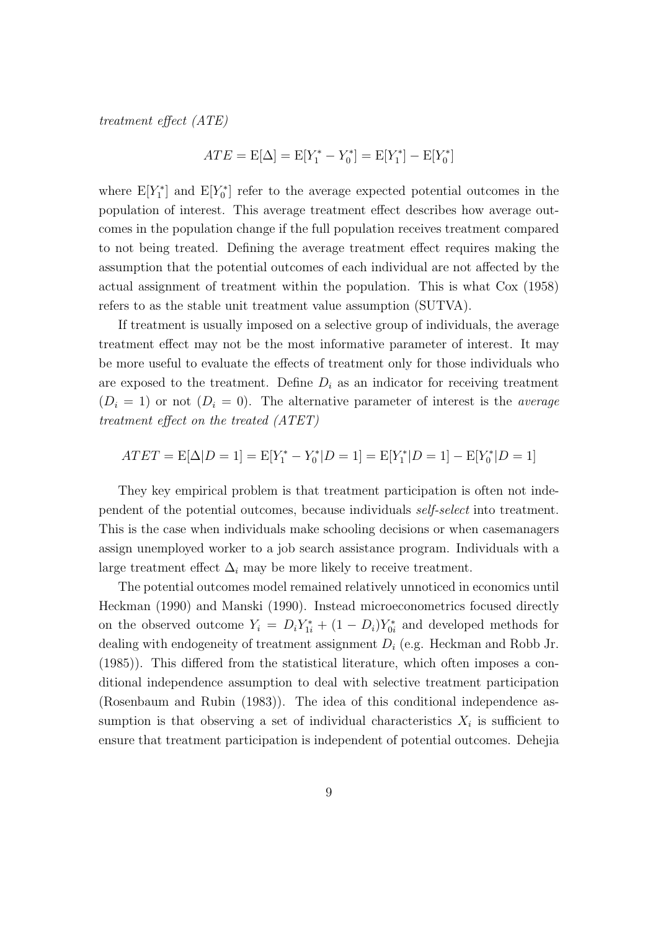treatment effect (ATE)

$$
ATE = \mathbb{E}[\Delta] = \mathbb{E}[Y_1^* - Y_0^*] = \mathbb{E}[Y_1^*] - \mathbb{E}[Y_0^*]
$$

where  $E[Y_1^*]$  and  $E[Y_0^*]$  refer to the average expected potential outcomes in the population of interest. This average treatment effect describes how average outcomes in the population change if the full population receives treatment compared to not being treated. Defining the average treatment effect requires making the assumption that the potential outcomes of each individual are not affected by the actual assignment of treatment within the population. This is what Cox (1958) refers to as the stable unit treatment value assumption (SUTVA).

If treatment is usually imposed on a selective group of individuals, the average treatment effect may not be the most informative parameter of interest. It may be more useful to evaluate the effects of treatment only for those individuals who are exposed to the treatment. Define  $D_i$  as an indicator for receiving treatment  $(D_i = 1)$  or not  $(D_i = 0)$ . The alternative parameter of interest is the *average* treatment effect on the treated (ATET)

$$
ATET = E[\Delta|D=1] = E[Y_1^* - Y_0^*|D=1] = E[Y_1^*|D=1] - E[Y_0^*|D=1]
$$

They key empirical problem is that treatment participation is often not independent of the potential outcomes, because individuals self-select into treatment. This is the case when individuals make schooling decisions or when casemanagers assign unemployed worker to a job search assistance program. Individuals with a large treatment effect  $\Delta_i$  may be more likely to receive treatment.

The potential outcomes model remained relatively unnoticed in economics until Heckman (1990) and Manski (1990). Instead microeconometrics focused directly on the observed outcome  $Y_i = D_i Y_{1i}^* + (1 - D_i) Y_{0i}^*$  and developed methods for dealing with endogeneity of treatment assignment  $D_i$  (e.g. Heckman and Robb Jr. (1985)). This differed from the statistical literature, which often imposes a conditional independence assumption to deal with selective treatment participation (Rosenbaum and Rubin (1983)). The idea of this conditional independence assumption is that observing a set of individual characteristics  $X_i$  is sufficient to ensure that treatment participation is independent of potential outcomes. Dehejia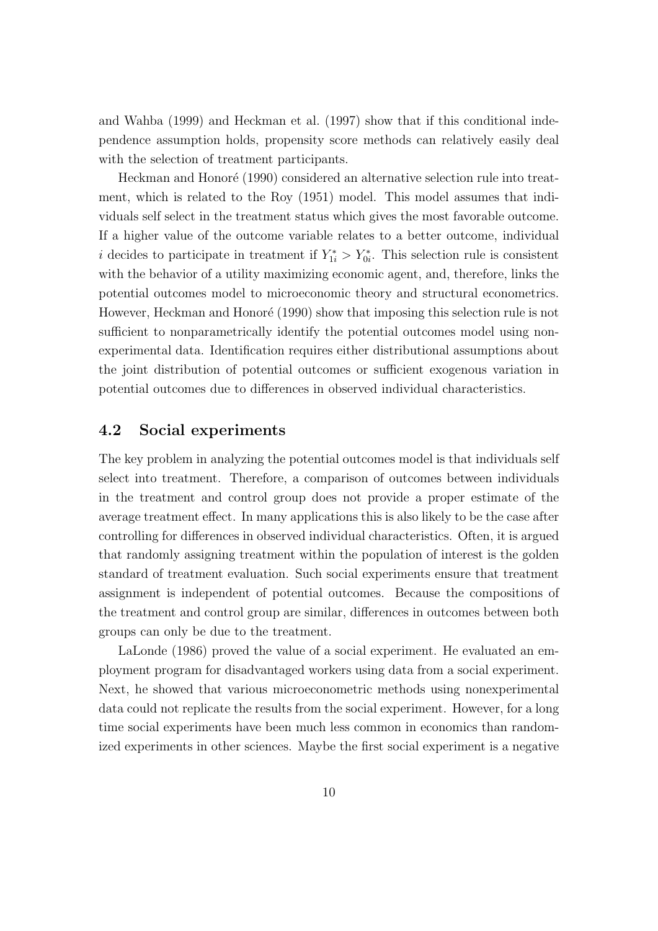and Wahba (1999) and Heckman et al. (1997) show that if this conditional independence assumption holds, propensity score methods can relatively easily deal with the selection of treatment participants.

Heckman and Honoré (1990) considered an alternative selection rule into treatment, which is related to the Roy (1951) model. This model assumes that individuals self select in the treatment status which gives the most favorable outcome. If a higher value of the outcome variable relates to a better outcome, individual *i* decides to participate in treatment if  $Y_{1i}^* > Y_{0i}^*$ . This selection rule is consistent with the behavior of a utility maximizing economic agent, and, therefore, links the potential outcomes model to microeconomic theory and structural econometrics. However, Heckman and Honoré (1990) show that imposing this selection rule is not sufficient to nonparametrically identify the potential outcomes model using nonexperimental data. Identification requires either distributional assumptions about the joint distribution of potential outcomes or sufficient exogenous variation in potential outcomes due to differences in observed individual characteristics.

#### 4.2 Social experiments

The key problem in analyzing the potential outcomes model is that individuals self select into treatment. Therefore, a comparison of outcomes between individuals in the treatment and control group does not provide a proper estimate of the average treatment effect. In many applications this is also likely to be the case after controlling for differences in observed individual characteristics. Often, it is argued that randomly assigning treatment within the population of interest is the golden standard of treatment evaluation. Such social experiments ensure that treatment assignment is independent of potential outcomes. Because the compositions of the treatment and control group are similar, differences in outcomes between both groups can only be due to the treatment.

LaLonde (1986) proved the value of a social experiment. He evaluated an employment program for disadvantaged workers using data from a social experiment. Next, he showed that various microeconometric methods using nonexperimental data could not replicate the results from the social experiment. However, for a long time social experiments have been much less common in economics than randomized experiments in other sciences. Maybe the first social experiment is a negative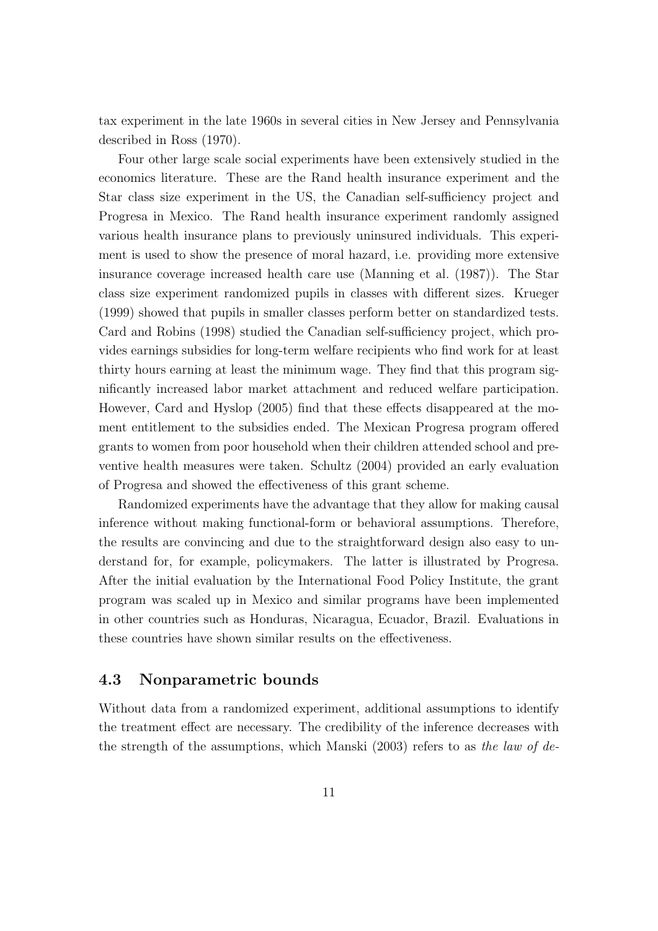tax experiment in the late 1960s in several cities in New Jersey and Pennsylvania described in Ross (1970).

Four other large scale social experiments have been extensively studied in the economics literature. These are the Rand health insurance experiment and the Star class size experiment in the US, the Canadian self-sufficiency project and Progresa in Mexico. The Rand health insurance experiment randomly assigned various health insurance plans to previously uninsured individuals. This experiment is used to show the presence of moral hazard, i.e. providing more extensive insurance coverage increased health care use (Manning et al. (1987)). The Star class size experiment randomized pupils in classes with different sizes. Krueger (1999) showed that pupils in smaller classes perform better on standardized tests. Card and Robins (1998) studied the Canadian self-sufficiency project, which provides earnings subsidies for long-term welfare recipients who find work for at least thirty hours earning at least the minimum wage. They find that this program significantly increased labor market attachment and reduced welfare participation. However, Card and Hyslop (2005) find that these effects disappeared at the moment entitlement to the subsidies ended. The Mexican Progresa program offered grants to women from poor household when their children attended school and preventive health measures were taken. Schultz (2004) provided an early evaluation of Progresa and showed the effectiveness of this grant scheme.

Randomized experiments have the advantage that they allow for making causal inference without making functional-form or behavioral assumptions. Therefore, the results are convincing and due to the straightforward design also easy to understand for, for example, policymakers. The latter is illustrated by Progresa. After the initial evaluation by the International Food Policy Institute, the grant program was scaled up in Mexico and similar programs have been implemented in other countries such as Honduras, Nicaragua, Ecuador, Brazil. Evaluations in these countries have shown similar results on the effectiveness.

#### 4.3 Nonparametric bounds

Without data from a randomized experiment, additional assumptions to identify the treatment effect are necessary. The credibility of the inference decreases with the strength of the assumptions, which Manski  $(2003)$  refers to as the law of de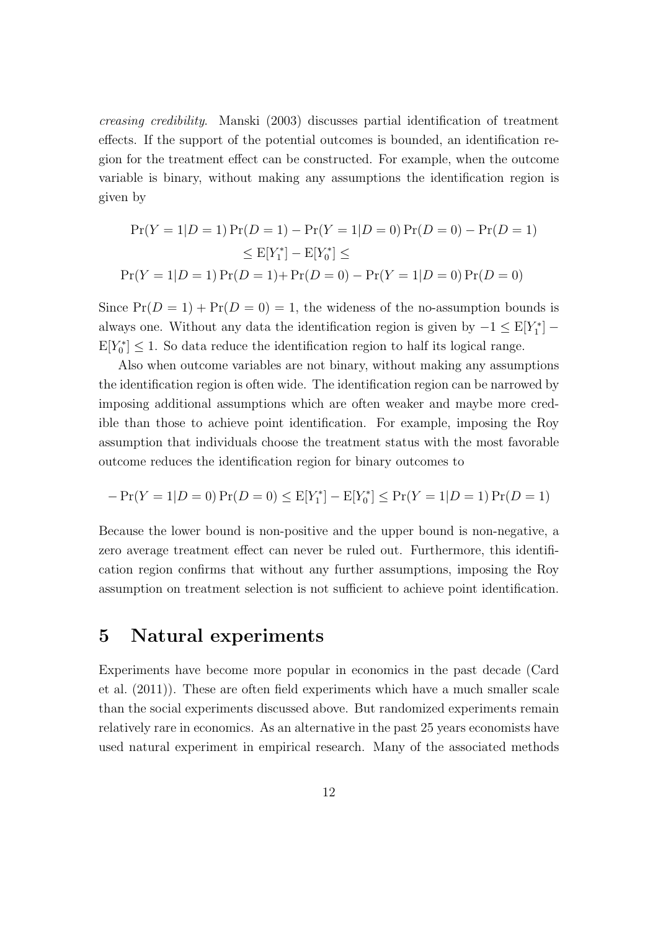creasing credibility. Manski (2003) discusses partial identification of treatment effects. If the support of the potential outcomes is bounded, an identification region for the treatment effect can be constructed. For example, when the outcome variable is binary, without making any assumptions the identification region is given by

$$
Pr(Y = 1|D = 1) Pr(D = 1) - Pr(Y = 1|D = 0) Pr(D = 0) - Pr(D = 1)
$$
  
\n
$$
\leq E[Y_1^*] - E[Y_0^*] \leq
$$
  
\n
$$
Pr(Y = 1|D = 1) Pr(D = 1) + Pr(D = 0) - Pr(Y = 1|D = 0) Pr(D = 0)
$$

Since  $Pr(D = 1) + Pr(D = 0) = 1$ , the wideness of the no-assumption bounds is always one. Without any data the identification region is given by  $-1 \leq E[Y_1^*]$  –  $E[Y_0^*] \leq 1$ . So data reduce the identification region to half its logical range.

Also when outcome variables are not binary, without making any assumptions the identification region is often wide. The identification region can be narrowed by imposing additional assumptions which are often weaker and maybe more credible than those to achieve point identification. For example, imposing the Roy assumption that individuals choose the treatment status with the most favorable outcome reduces the identification region for binary outcomes to

$$
- \Pr(Y = 1|D = 0) \Pr(D = 0) \leq \mathbb{E}[Y_1^*] - \mathbb{E}[Y_0^*] \leq \Pr(Y = 1|D = 1) \Pr(D = 1)
$$

Because the lower bound is non-positive and the upper bound is non-negative, a zero average treatment effect can never be ruled out. Furthermore, this identification region confirms that without any further assumptions, imposing the Roy assumption on treatment selection is not sufficient to achieve point identification.

## 5 Natural experiments

Experiments have become more popular in economics in the past decade (Card et al. (2011)). These are often field experiments which have a much smaller scale than the social experiments discussed above. But randomized experiments remain relatively rare in economics. As an alternative in the past 25 years economists have used natural experiment in empirical research. Many of the associated methods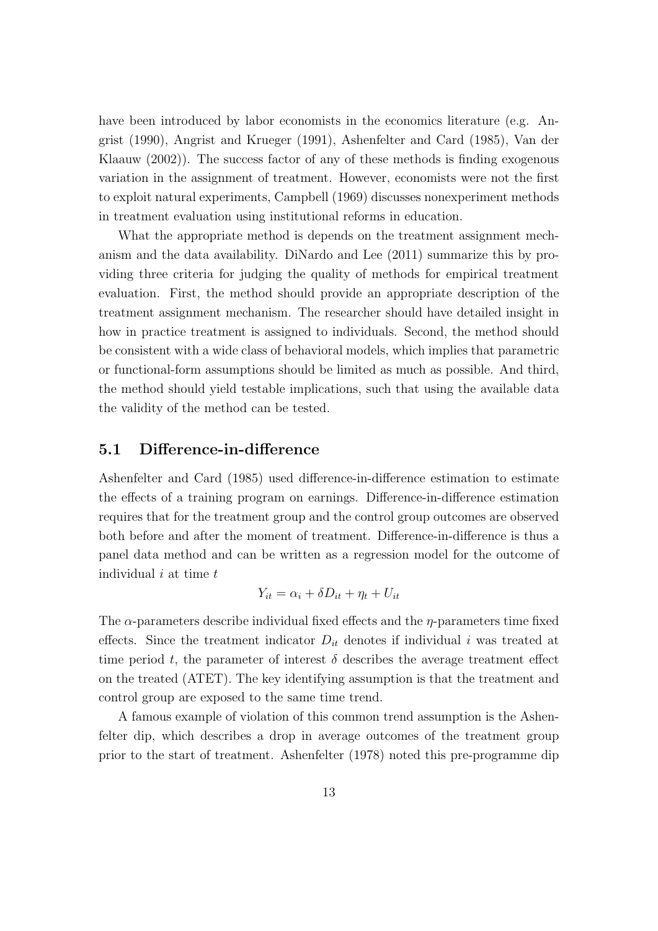have been introduced by labor economists in the economics literature (e.g. Angrist (1990), Angrist and Krueger (1991), Ashenfelter and Card (1985), Van der Klaauw (2002)). The success factor of any of these methods is finding exogenous variation in the assignment of treatment. However, economists were not the first to exploit natural experiments, Campbell (1969) discusses nonexperiment methods in treatment evaluation using institutional reforms in education.

What the appropriate method is depends on the treatment assignment mechanism and the data availability. DiNardo and Lee (2011) summarize this by providing three criteria for judging the quality of methods for empirical treatment evaluation. First, the method should provide an appropriate description of the treatment assignment mechanism. The researcher should have detailed insight in how in practice treatment is assigned to individuals. Second, the method should be consistent with a wide class of behavioral models, which implies that parametric or functional-form assumptions should be limited as much as possible. And third, the method should yield testable implications, such that using the available data the validity of the method can be tested.

#### 5.1 Difference-in-difference

Ashenfelter and Card (1985) used difference-in-difference estimation to estimate the effects of a training program on earnings. Difference-in-difference estimation requires that for the treatment group and the control group outcomes are observed both before and after the moment of treatment. Difference-in-difference is thus a panel data method and can be written as a regression model for the outcome of individual  $i$  at time  $t$ 

$$
Y_{it} = \alpha_i + \delta D_{it} + \eta_t + U_{it}
$$

The  $\alpha$ -parameters describe individual fixed effects and the  $\eta$ -parameters time fixed effects. Since the treatment indicator  $D_{it}$  denotes if individual i was treated at time period t, the parameter of interest  $\delta$  describes the average treatment effect on the treated (ATET). The key identifying assumption is that the treatment and control group are exposed to the same time trend.

A famous example of violation of this common trend assumption is the Ashenfelter dip, which describes a drop in average outcomes of the treatment group prior to the start of treatment. Ashenfelter (1978) noted this pre-programme dip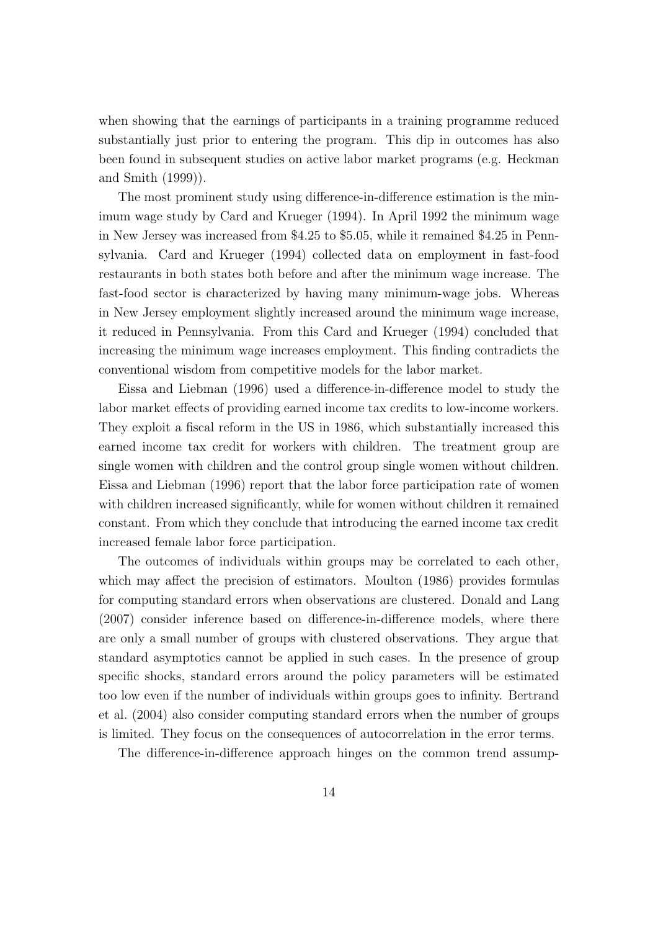when showing that the earnings of participants in a training programme reduced substantially just prior to entering the program. This dip in outcomes has also been found in subsequent studies on active labor market programs (e.g. Heckman and Smith (1999)).

The most prominent study using difference-in-difference estimation is the minimum wage study by Card and Krueger (1994). In April 1992 the minimum wage in New Jersey was increased from \$4.25 to \$5.05, while it remained \$4.25 in Pennsylvania. Card and Krueger (1994) collected data on employment in fast-food restaurants in both states both before and after the minimum wage increase. The fast-food sector is characterized by having many minimum-wage jobs. Whereas in New Jersey employment slightly increased around the minimum wage increase, it reduced in Pennsylvania. From this Card and Krueger (1994) concluded that increasing the minimum wage increases employment. This finding contradicts the conventional wisdom from competitive models for the labor market.

Eissa and Liebman (1996) used a difference-in-difference model to study the labor market effects of providing earned income tax credits to low-income workers. They exploit a fiscal reform in the US in 1986, which substantially increased this earned income tax credit for workers with children. The treatment group are single women with children and the control group single women without children. Eissa and Liebman (1996) report that the labor force participation rate of women with children increased significantly, while for women without children it remained constant. From which they conclude that introducing the earned income tax credit increased female labor force participation.

The outcomes of individuals within groups may be correlated to each other, which may affect the precision of estimators. Moulton (1986) provides formulas for computing standard errors when observations are clustered. Donald and Lang (2007) consider inference based on difference-in-difference models, where there are only a small number of groups with clustered observations. They argue that standard asymptotics cannot be applied in such cases. In the presence of group specific shocks, standard errors around the policy parameters will be estimated too low even if the number of individuals within groups goes to infinity. Bertrand et al. (2004) also consider computing standard errors when the number of groups is limited. They focus on the consequences of autocorrelation in the error terms.

The difference-in-difference approach hinges on the common trend assump-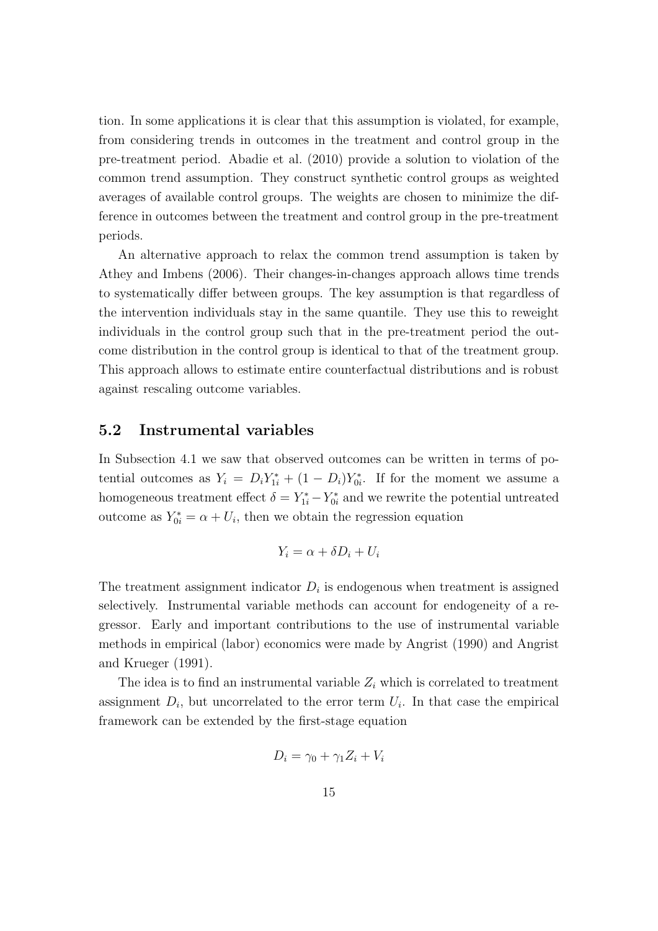tion. In some applications it is clear that this assumption is violated, for example, from considering trends in outcomes in the treatment and control group in the pre-treatment period. Abadie et al. (2010) provide a solution to violation of the common trend assumption. They construct synthetic control groups as weighted averages of available control groups. The weights are chosen to minimize the difference in outcomes between the treatment and control group in the pre-treatment periods.

An alternative approach to relax the common trend assumption is taken by Athey and Imbens (2006). Their changes-in-changes approach allows time trends to systematically differ between groups. The key assumption is that regardless of the intervention individuals stay in the same quantile. They use this to reweight individuals in the control group such that in the pre-treatment period the outcome distribution in the control group is identical to that of the treatment group. This approach allows to estimate entire counterfactual distributions and is robust against rescaling outcome variables.

#### 5.2 Instrumental variables

In Subsection 4.1 we saw that observed outcomes can be written in terms of potential outcomes as  $Y_i = D_i Y_{1i}^* + (1 - D_i) Y_{0i}^*$ . If for the moment we assume a homogeneous treatment effect  $\delta = Y_{1i}^* - Y_{0i}^*$  and we rewrite the potential untreated outcome as  $Y_{0i}^* = \alpha + U_i$ , then we obtain the regression equation

$$
Y_i = \alpha + \delta D_i + U_i
$$

The treatment assignment indicator  $D_i$  is endogenous when treatment is assigned selectively. Instrumental variable methods can account for endogeneity of a regressor. Early and important contributions to the use of instrumental variable methods in empirical (labor) economics were made by Angrist (1990) and Angrist and Krueger (1991).

The idea is to find an instrumental variable  $Z_i$  which is correlated to treatment assignment  $D_i$ , but uncorrelated to the error term  $U_i$ . In that case the empirical framework can be extended by the first-stage equation

$$
D_i = \gamma_0 + \gamma_1 Z_i + V_i
$$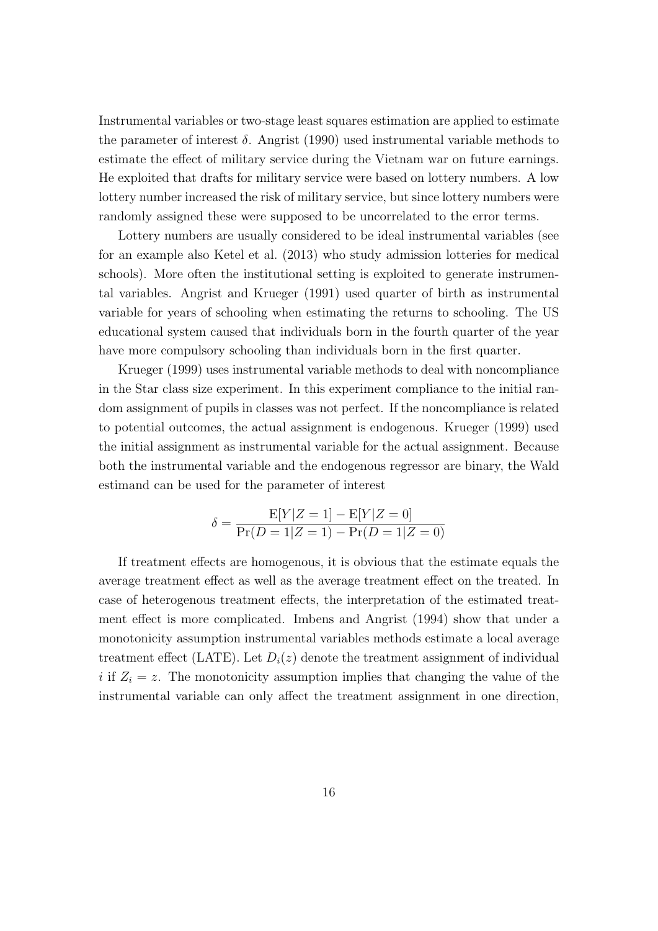Instrumental variables or two-stage least squares estimation are applied to estimate the parameter of interest  $\delta$ . Angrist (1990) used instrumental variable methods to estimate the effect of military service during the Vietnam war on future earnings. He exploited that drafts for military service were based on lottery numbers. A low lottery number increased the risk of military service, but since lottery numbers were randomly assigned these were supposed to be uncorrelated to the error terms.

Lottery numbers are usually considered to be ideal instrumental variables (see for an example also Ketel et al. (2013) who study admission lotteries for medical schools). More often the institutional setting is exploited to generate instrumental variables. Angrist and Krueger (1991) used quarter of birth as instrumental variable for years of schooling when estimating the returns to schooling. The US educational system caused that individuals born in the fourth quarter of the year have more compulsory schooling than individuals born in the first quarter.

Krueger (1999) uses instrumental variable methods to deal with noncompliance in the Star class size experiment. In this experiment compliance to the initial random assignment of pupils in classes was not perfect. If the noncompliance is related to potential outcomes, the actual assignment is endogenous. Krueger (1999) used the initial assignment as instrumental variable for the actual assignment. Because both the instrumental variable and the endogenous regressor are binary, the Wald estimand can be used for the parameter of interest

$$
\delta = \frac{E[Y|Z=1] - E[Y|Z=0]}{\Pr(D=1|Z=1) - \Pr(D=1|Z=0)}
$$

If treatment effects are homogenous, it is obvious that the estimate equals the average treatment effect as well as the average treatment effect on the treated. In case of heterogenous treatment effects, the interpretation of the estimated treatment effect is more complicated. Imbens and Angrist (1994) show that under a monotonicity assumption instrumental variables methods estimate a local average treatment effect (LATE). Let  $D_i(z)$  denote the treatment assignment of individual i if  $Z_i = z$ . The monotonicity assumption implies that changing the value of the instrumental variable can only affect the treatment assignment in one direction,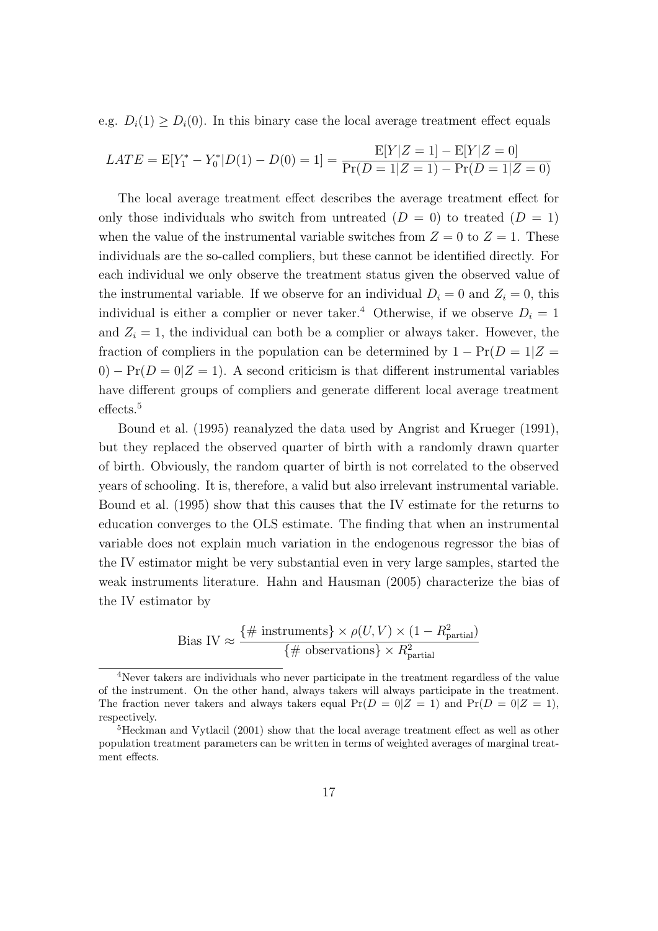e.g.  $D_i(1) \geq D_i(0)$ . In this binary case the local average treatment effect equals

$$
LATE = E[Y_1^* - Y_0^* | D(1) - D(0) = 1] = \frac{E[Y|Z=1] - E[Y|Z=0]}{\Pr(D=1|Z=1) - \Pr(D=1|Z=0)}
$$

The local average treatment effect describes the average treatment effect for only those individuals who switch from untreated  $(D = 0)$  to treated  $(D = 1)$ when the value of the instrumental variable switches from  $Z = 0$  to  $Z = 1$ . These individuals are the so-called compliers, but these cannot be identified directly. For each individual we only observe the treatment status given the observed value of the instrumental variable. If we observe for an individual  $D_i = 0$  and  $Z_i = 0$ , this individual is either a complier or never taker.<sup>4</sup> Otherwise, if we observe  $D_i = 1$ and  $Z_i = 1$ , the individual can both be a complier or always taker. However, the fraction of compliers in the population can be determined by  $1 - Pr(D = 1|Z =$  $0$ ) – Pr( $D = 0|Z = 1$ ). A second criticism is that different instrumental variables have different groups of compliers and generate different local average treatment effects.<sup>5</sup>

Bound et al. (1995) reanalyzed the data used by Angrist and Krueger (1991), but they replaced the observed quarter of birth with a randomly drawn quarter of birth. Obviously, the random quarter of birth is not correlated to the observed years of schooling. It is, therefore, a valid but also irrelevant instrumental variable. Bound et al. (1995) show that this causes that the IV estimate for the returns to education converges to the OLS estimate. The finding that when an instrumental variable does not explain much variation in the endogenous regressor the bias of the IV estimator might be very substantial even in very large samples, started the weak instruments literature. Hahn and Hausman (2005) characterize the bias of the IV estimator by

Bias IV 
$$
\approx \frac{\{\#\text{ instruments}\} \times \rho(U, V) \times (1 - R_{\text{partial}}^2)}{\{\#\text{ observations}\} \times R_{\text{partial}}^2}
$$

<sup>4</sup>Never takers are individuals who never participate in the treatment regardless of the value of the instrument. On the other hand, always takers will always participate in the treatment. The fraction never takers and always takers equal  $Pr(D = 0|Z = 1)$  and  $Pr(D = 0|Z = 1)$ , respectively.

<sup>5</sup>Heckman and Vytlacil (2001) show that the local average treatment effect as well as other population treatment parameters can be written in terms of weighted averages of marginal treatment effects.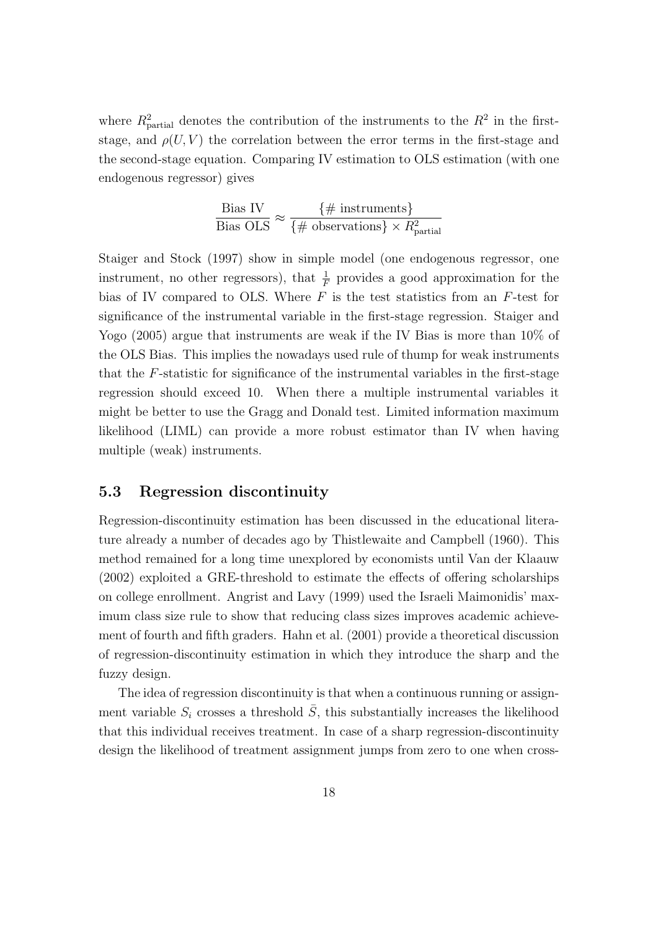where  $R_{\text{partial}}^2$  denotes the contribution of the instruments to the  $R^2$  in the firststage, and  $\rho(U, V)$  the correlation between the error terms in the first-stage and the second-stage equation. Comparing IV estimation to OLS estimation (with one endogenous regressor) gives

$$
\frac{\text{Bias IV}}{\text{Bias OLS}} \approx \frac{\{\text{\# instruments}\}}{\{\text{\# observations}\} \times R_{\text{partial}}^2}
$$

Staiger and Stock (1997) show in simple model (one endogenous regressor, one instrument, no other regressors), that  $\frac{1}{F}$  provides a good approximation for the bias of IV compared to OLS. Where  $F$  is the test statistics from an  $F$ -test for significance of the instrumental variable in the first-stage regression. Staiger and Yogo (2005) argue that instruments are weak if the IV Bias is more than 10% of the OLS Bias. This implies the nowadays used rule of thump for weak instruments that the F-statistic for significance of the instrumental variables in the first-stage regression should exceed 10. When there a multiple instrumental variables it might be better to use the Gragg and Donald test. Limited information maximum likelihood (LIML) can provide a more robust estimator than IV when having multiple (weak) instruments.

#### 5.3 Regression discontinuity

Regression-discontinuity estimation has been discussed in the educational literature already a number of decades ago by Thistlewaite and Campbell (1960). This method remained for a long time unexplored by economists until Van der Klaauw (2002) exploited a GRE-threshold to estimate the effects of offering scholarships on college enrollment. Angrist and Lavy (1999) used the Israeli Maimonidis' maximum class size rule to show that reducing class sizes improves academic achievement of fourth and fifth graders. Hahn et al. (2001) provide a theoretical discussion of regression-discontinuity estimation in which they introduce the sharp and the fuzzy design.

The idea of regression discontinuity is that when a continuous running or assignment variable  $S_i$  crosses a threshold  $\overline{S}$ , this substantially increases the likelihood that this individual receives treatment. In case of a sharp regression-discontinuity design the likelihood of treatment assignment jumps from zero to one when cross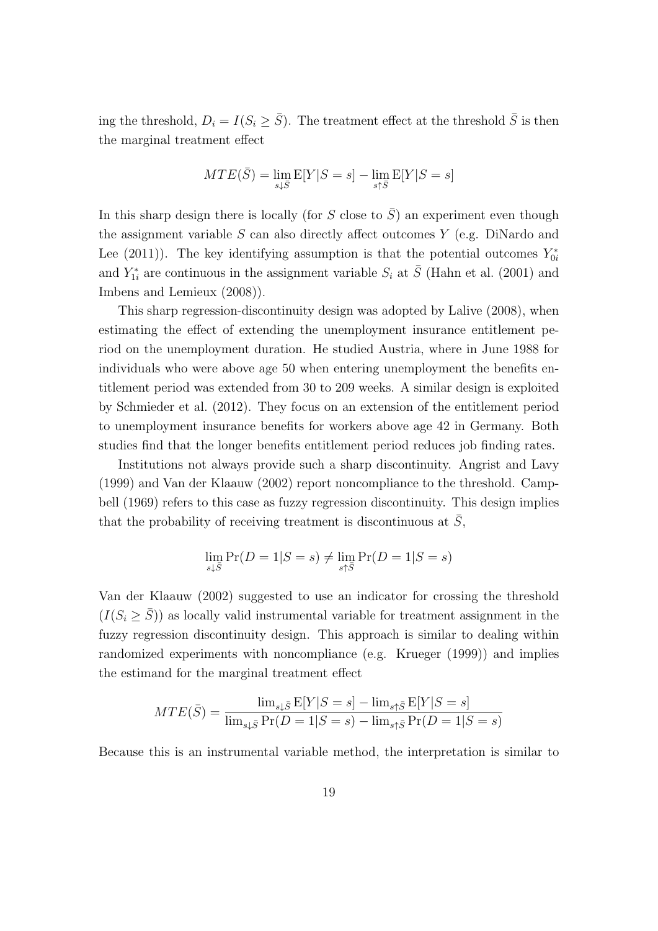ing the threshold,  $D_i = I(S_i \ge \overline{S})$ . The treatment effect at the threshold  $\overline{S}$  is then the marginal treatment effect

$$
MTE(\bar{S}) = \lim_{s \downarrow \bar{S}} E[Y|S=s] - \lim_{s \uparrow \bar{S}} E[Y|S=s]
$$

In this sharp design there is locally (for S close to  $\overline{S}$ ) an experiment even though the assignment variable  $S$  can also directly affect outcomes  $Y$  (e.g. DiNardo and Lee (2011)). The key identifying assumption is that the potential outcomes  $Y_{0i}^*$ and  $Y_{1i}^*$  are continuous in the assignment variable  $S_i$  at  $\overline{S}$  (Hahn et al. (2001) and Imbens and Lemieux (2008)).

This sharp regression-discontinuity design was adopted by Lalive (2008), when estimating the effect of extending the unemployment insurance entitlement period on the unemployment duration. He studied Austria, where in June 1988 for individuals who were above age 50 when entering unemployment the benefits entitlement period was extended from 30 to 209 weeks. A similar design is exploited by Schmieder et al. (2012). They focus on an extension of the entitlement period to unemployment insurance benefits for workers above age 42 in Germany. Both studies find that the longer benefits entitlement period reduces job finding rates.

Institutions not always provide such a sharp discontinuity. Angrist and Lavy (1999) and Van der Klaauw (2002) report noncompliance to the threshold. Campbell (1969) refers to this case as fuzzy regression discontinuity. This design implies that the probability of receiving treatment is discontinuous at  $S$ ,

$$
\lim_{s\downarrow \bar{S}}\Pr(D=1|S=s)\neq \lim_{s\uparrow \bar{S}}\Pr(D=1|S=s)
$$

Van der Klaauw (2002) suggested to use an indicator for crossing the threshold  $(I(S_i \geq \overline{S}))$  as locally valid instrumental variable for treatment assignment in the fuzzy regression discontinuity design. This approach is similar to dealing within randomized experiments with noncompliance (e.g. Krueger (1999)) and implies the estimand for the marginal treatment effect

$$
MTE(\bar{S}) = \frac{\lim_{s\downarrow \bar{S}} E[Y|S=s] - \lim_{s\uparrow \bar{S}} E[Y|S=s]}{\lim_{s\downarrow \bar{S}} \Pr(D=1|S=s) - \lim_{s\uparrow \bar{S}} \Pr(D=1|S=s)}
$$

Because this is an instrumental variable method, the interpretation is similar to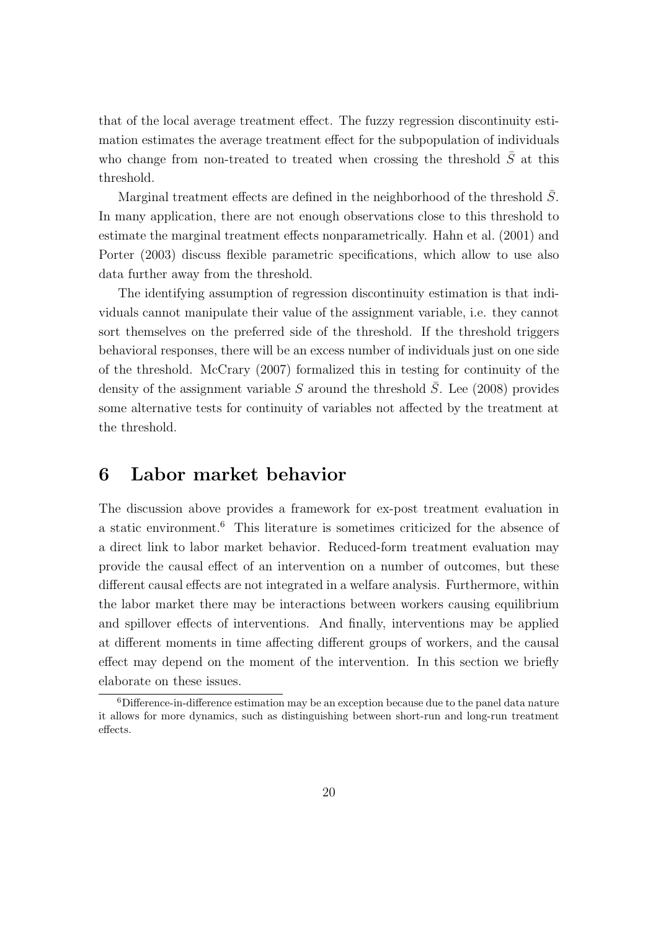that of the local average treatment effect. The fuzzy regression discontinuity estimation estimates the average treatment effect for the subpopulation of individuals who change from non-treated to treated when crossing the threshold  $\bar{S}$  at this threshold.

Marginal treatment effects are defined in the neighborhood of the threshold  $S$ . In many application, there are not enough observations close to this threshold to estimate the marginal treatment effects nonparametrically. Hahn et al. (2001) and Porter (2003) discuss flexible parametric specifications, which allow to use also data further away from the threshold.

The identifying assumption of regression discontinuity estimation is that individuals cannot manipulate their value of the assignment variable, i.e. they cannot sort themselves on the preferred side of the threshold. If the threshold triggers behavioral responses, there will be an excess number of individuals just on one side of the threshold. McCrary (2007) formalized this in testing for continuity of the density of the assignment variable S around the threshold  $\overline{S}$ . Lee (2008) provides some alternative tests for continuity of variables not affected by the treatment at the threshold.

## 6 Labor market behavior

The discussion above provides a framework for ex-post treatment evaluation in a static environment.<sup>6</sup> This literature is sometimes criticized for the absence of a direct link to labor market behavior. Reduced-form treatment evaluation may provide the causal effect of an intervention on a number of outcomes, but these different causal effects are not integrated in a welfare analysis. Furthermore, within the labor market there may be interactions between workers causing equilibrium and spillover effects of interventions. And finally, interventions may be applied at different moments in time affecting different groups of workers, and the causal effect may depend on the moment of the intervention. In this section we briefly elaborate on these issues.

<sup>6</sup>Difference-in-difference estimation may be an exception because due to the panel data nature it allows for more dynamics, such as distinguishing between short-run and long-run treatment effects.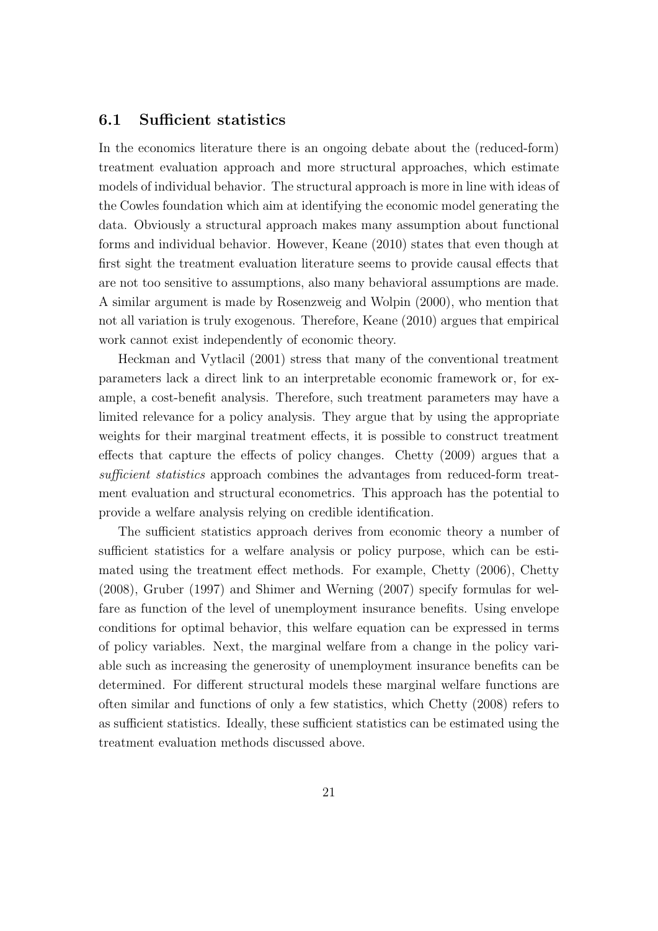#### 6.1 Sufficient statistics

In the economics literature there is an ongoing debate about the (reduced-form) treatment evaluation approach and more structural approaches, which estimate models of individual behavior. The structural approach is more in line with ideas of the Cowles foundation which aim at identifying the economic model generating the data. Obviously a structural approach makes many assumption about functional forms and individual behavior. However, Keane (2010) states that even though at first sight the treatment evaluation literature seems to provide causal effects that are not too sensitive to assumptions, also many behavioral assumptions are made. A similar argument is made by Rosenzweig and Wolpin (2000), who mention that not all variation is truly exogenous. Therefore, Keane (2010) argues that empirical work cannot exist independently of economic theory.

Heckman and Vytlacil (2001) stress that many of the conventional treatment parameters lack a direct link to an interpretable economic framework or, for example, a cost-benefit analysis. Therefore, such treatment parameters may have a limited relevance for a policy analysis. They argue that by using the appropriate weights for their marginal treatment effects, it is possible to construct treatment effects that capture the effects of policy changes. Chetty (2009) argues that a sufficient statistics approach combines the advantages from reduced-form treatment evaluation and structural econometrics. This approach has the potential to provide a welfare analysis relying on credible identification.

The sufficient statistics approach derives from economic theory a number of sufficient statistics for a welfare analysis or policy purpose, which can be estimated using the treatment effect methods. For example, Chetty (2006), Chetty (2008), Gruber (1997) and Shimer and Werning (2007) specify formulas for welfare as function of the level of unemployment insurance benefits. Using envelope conditions for optimal behavior, this welfare equation can be expressed in terms of policy variables. Next, the marginal welfare from a change in the policy variable such as increasing the generosity of unemployment insurance benefits can be determined. For different structural models these marginal welfare functions are often similar and functions of only a few statistics, which Chetty (2008) refers to as sufficient statistics. Ideally, these sufficient statistics can be estimated using the treatment evaluation methods discussed above.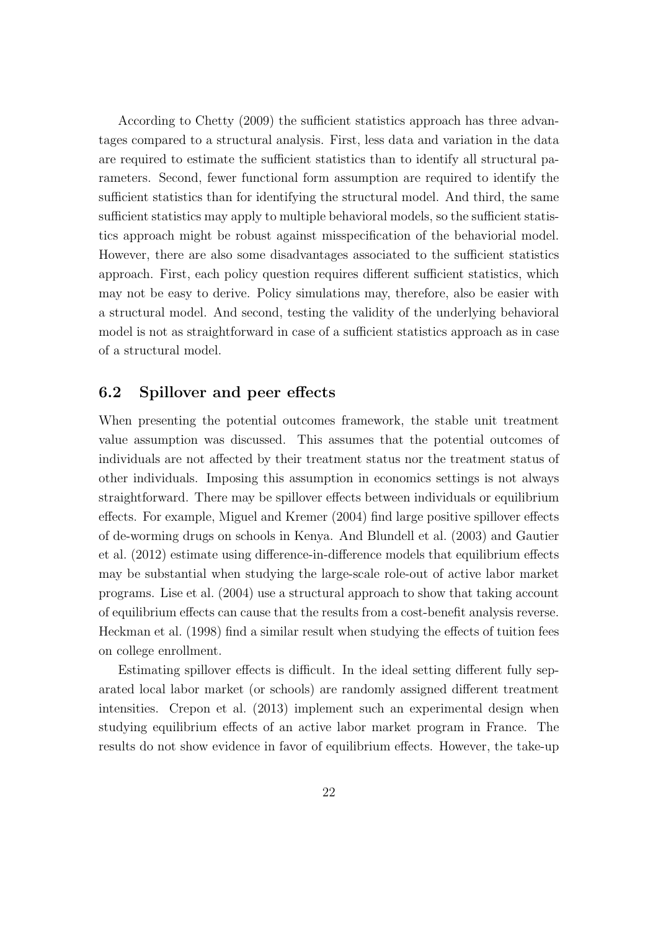According to Chetty (2009) the sufficient statistics approach has three advantages compared to a structural analysis. First, less data and variation in the data are required to estimate the sufficient statistics than to identify all structural parameters. Second, fewer functional form assumption are required to identify the sufficient statistics than for identifying the structural model. And third, the same sufficient statistics may apply to multiple behavioral models, so the sufficient statistics approach might be robust against misspecification of the behaviorial model. However, there are also some disadvantages associated to the sufficient statistics approach. First, each policy question requires different sufficient statistics, which may not be easy to derive. Policy simulations may, therefore, also be easier with a structural model. And second, testing the validity of the underlying behavioral model is not as straightforward in case of a sufficient statistics approach as in case of a structural model.

#### 6.2 Spillover and peer effects

When presenting the potential outcomes framework, the stable unit treatment value assumption was discussed. This assumes that the potential outcomes of individuals are not affected by their treatment status nor the treatment status of other individuals. Imposing this assumption in economics settings is not always straightforward. There may be spillover effects between individuals or equilibrium effects. For example, Miguel and Kremer (2004) find large positive spillover effects of de-worming drugs on schools in Kenya. And Blundell et al. (2003) and Gautier et al. (2012) estimate using difference-in-difference models that equilibrium effects may be substantial when studying the large-scale role-out of active labor market programs. Lise et al. (2004) use a structural approach to show that taking account of equilibrium effects can cause that the results from a cost-benefit analysis reverse. Heckman et al. (1998) find a similar result when studying the effects of tuition fees on college enrollment.

Estimating spillover effects is difficult. In the ideal setting different fully separated local labor market (or schools) are randomly assigned different treatment intensities. Crepon et al. (2013) implement such an experimental design when studying equilibrium effects of an active labor market program in France. The results do not show evidence in favor of equilibrium effects. However, the take-up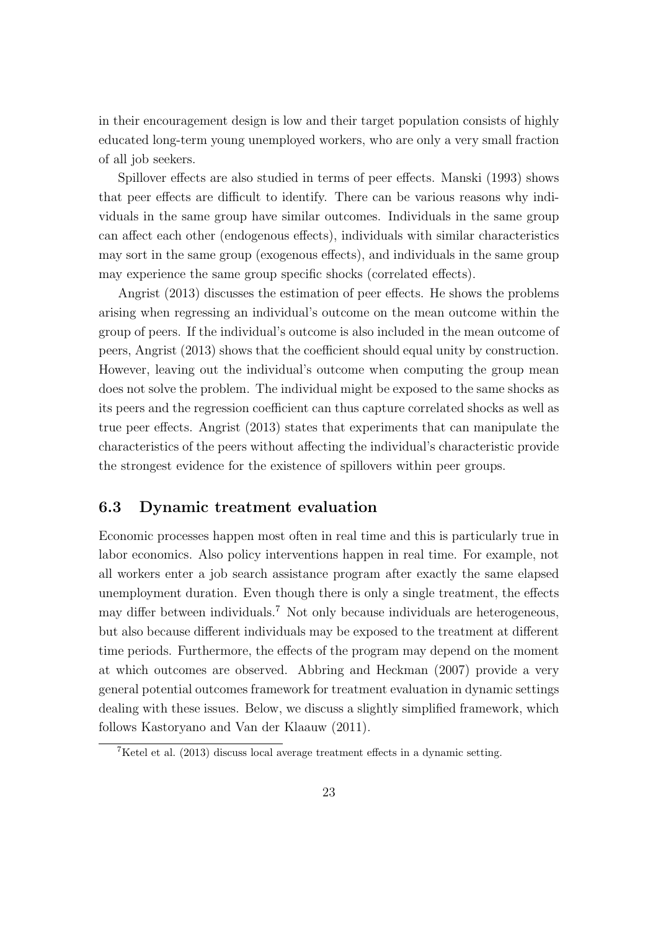in their encouragement design is low and their target population consists of highly educated long-term young unemployed workers, who are only a very small fraction of all job seekers.

Spillover effects are also studied in terms of peer effects. Manski (1993) shows that peer effects are difficult to identify. There can be various reasons why individuals in the same group have similar outcomes. Individuals in the same group can affect each other (endogenous effects), individuals with similar characteristics may sort in the same group (exogenous effects), and individuals in the same group may experience the same group specific shocks (correlated effects).

Angrist (2013) discusses the estimation of peer effects. He shows the problems arising when regressing an individual's outcome on the mean outcome within the group of peers. If the individual's outcome is also included in the mean outcome of peers, Angrist (2013) shows that the coefficient should equal unity by construction. However, leaving out the individual's outcome when computing the group mean does not solve the problem. The individual might be exposed to the same shocks as its peers and the regression coefficient can thus capture correlated shocks as well as true peer effects. Angrist (2013) states that experiments that can manipulate the characteristics of the peers without affecting the individual's characteristic provide the strongest evidence for the existence of spillovers within peer groups.

#### 6.3 Dynamic treatment evaluation

Economic processes happen most often in real time and this is particularly true in labor economics. Also policy interventions happen in real time. For example, not all workers enter a job search assistance program after exactly the same elapsed unemployment duration. Even though there is only a single treatment, the effects may differ between individuals.<sup>7</sup> Not only because individuals are heterogeneous, but also because different individuals may be exposed to the treatment at different time periods. Furthermore, the effects of the program may depend on the moment at which outcomes are observed. Abbring and Heckman (2007) provide a very general potential outcomes framework for treatment evaluation in dynamic settings dealing with these issues. Below, we discuss a slightly simplified framework, which follows Kastoryano and Van der Klaauw (2011).

<sup>7</sup>Ketel et al. (2013) discuss local average treatment effects in a dynamic setting.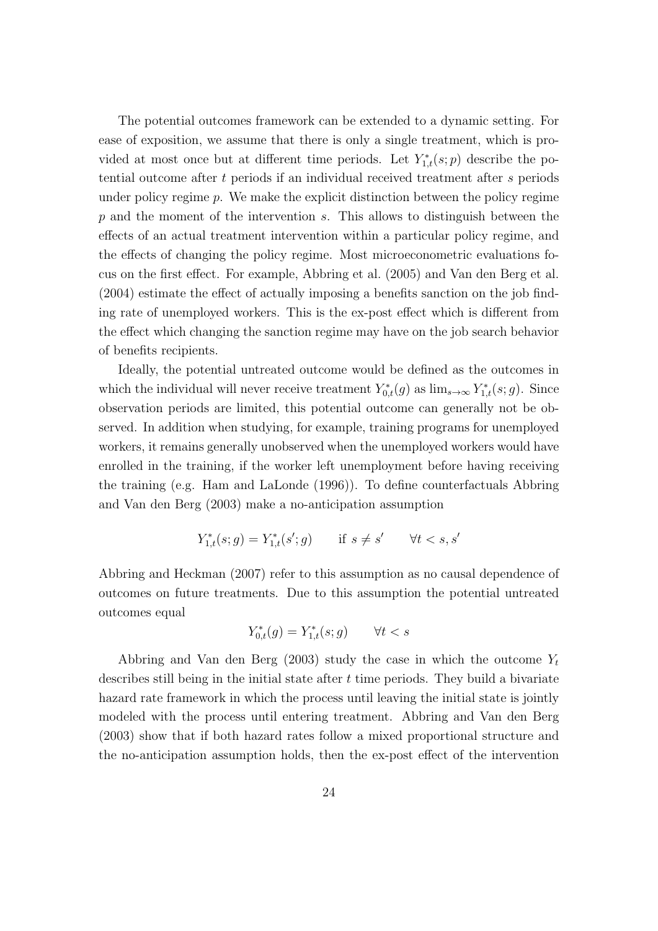The potential outcomes framework can be extended to a dynamic setting. For ease of exposition, we assume that there is only a single treatment, which is provided at most once but at different time periods. Let  $Y_{1,t}^*(s;p)$  describe the potential outcome after t periods if an individual received treatment after s periods under policy regime  $p$ . We make the explicit distinction between the policy regime  $p$  and the moment of the intervention s. This allows to distinguish between the effects of an actual treatment intervention within a particular policy regime, and the effects of changing the policy regime. Most microeconometric evaluations focus on the first effect. For example, Abbring et al. (2005) and Van den Berg et al. (2004) estimate the effect of actually imposing a benefits sanction on the job finding rate of unemployed workers. This is the ex-post effect which is different from the effect which changing the sanction regime may have on the job search behavior of benefits recipients.

Ideally, the potential untreated outcome would be defined as the outcomes in which the individual will never receive treatment  $Y_{0,t}^*(g)$  as  $\lim_{s\to\infty} Y_{1,t}^*(s;g)$ . Since observation periods are limited, this potential outcome can generally not be observed. In addition when studying, for example, training programs for unemployed workers, it remains generally unobserved when the unemployed workers would have enrolled in the training, if the worker left unemployment before having receiving the training (e.g. Ham and LaLonde (1996)). To define counterfactuals Abbring and Van den Berg (2003) make a no-anticipation assumption

$$
Y_{1,t}^*(s;g) = Y_{1,t}^*(s';g) \qquad \text{if } s \neq s' \qquad \forall t < s, s'
$$

Abbring and Heckman (2007) refer to this assumption as no causal dependence of outcomes on future treatments. Due to this assumption the potential untreated outcomes equal

$$
Y_{0,t}^*(g) = Y_{1,t}^*(s; g) \qquad \forall t < s
$$

Abbring and Van den Berg (2003) study the case in which the outcome  $Y_t$ describes still being in the initial state after  $t$  time periods. They build a bivariate hazard rate framework in which the process until leaving the initial state is jointly modeled with the process until entering treatment. Abbring and Van den Berg (2003) show that if both hazard rates follow a mixed proportional structure and the no-anticipation assumption holds, then the ex-post effect of the intervention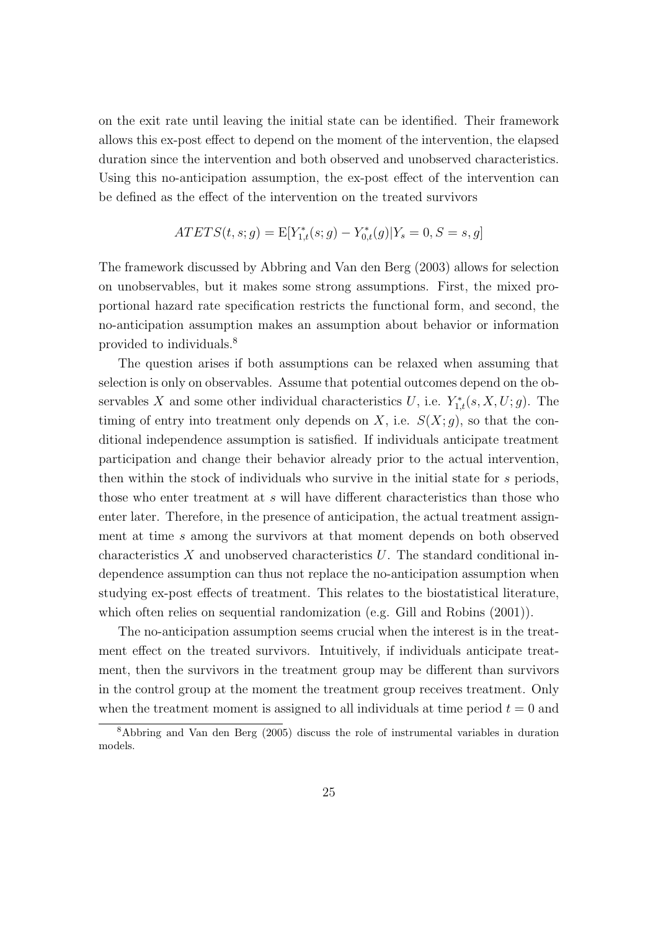on the exit rate until leaving the initial state can be identified. Their framework allows this ex-post effect to depend on the moment of the intervention, the elapsed duration since the intervention and both observed and unobserved characteristics. Using this no-anticipation assumption, the ex-post effect of the intervention can be defined as the effect of the intervention on the treated survivors

$$
ATETS(t, s; g) = \mathbb{E}[Y_{1,t}^*(s; g) - Y_{0,t}^*(g)|Y_s = 0, S = s, g]
$$

The framework discussed by Abbring and Van den Berg (2003) allows for selection on unobservables, but it makes some strong assumptions. First, the mixed proportional hazard rate specification restricts the functional form, and second, the no-anticipation assumption makes an assumption about behavior or information provided to individuals.<sup>8</sup>

The question arises if both assumptions can be relaxed when assuming that selection is only on observables. Assume that potential outcomes depend on the observables X and some other individual characteristics U, i.e.  $Y_{1,t}^*(s, X, U; g)$ . The timing of entry into treatment only depends on X, i.e.  $S(X;g)$ , so that the conditional independence assumption is satisfied. If individuals anticipate treatment participation and change their behavior already prior to the actual intervention, then within the stock of individuals who survive in the initial state for s periods, those who enter treatment at s will have different characteristics than those who enter later. Therefore, in the presence of anticipation, the actual treatment assignment at time s among the survivors at that moment depends on both observed characteristics X and unobserved characteristics U. The standard conditional independence assumption can thus not replace the no-anticipation assumption when studying ex-post effects of treatment. This relates to the biostatistical literature, which often relies on sequential randomization (e.g. Gill and Robins (2001)).

The no-anticipation assumption seems crucial when the interest is in the treatment effect on the treated survivors. Intuitively, if individuals anticipate treatment, then the survivors in the treatment group may be different than survivors in the control group at the moment the treatment group receives treatment. Only when the treatment moment is assigned to all individuals at time period  $t = 0$  and

<sup>8</sup>Abbring and Van den Berg (2005) discuss the role of instrumental variables in duration models.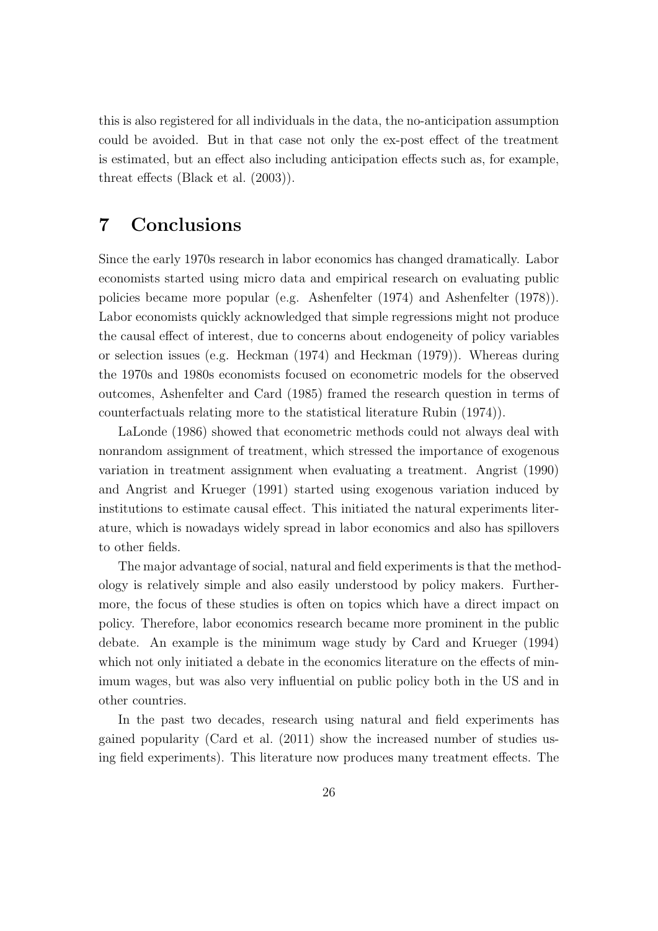this is also registered for all individuals in the data, the no-anticipation assumption could be avoided. But in that case not only the ex-post effect of the treatment is estimated, but an effect also including anticipation effects such as, for example, threat effects (Black et al. (2003)).

## 7 Conclusions

Since the early 1970s research in labor economics has changed dramatically. Labor economists started using micro data and empirical research on evaluating public policies became more popular (e.g. Ashenfelter (1974) and Ashenfelter (1978)). Labor economists quickly acknowledged that simple regressions might not produce the causal effect of interest, due to concerns about endogeneity of policy variables or selection issues (e.g. Heckman (1974) and Heckman (1979)). Whereas during the 1970s and 1980s economists focused on econometric models for the observed outcomes, Ashenfelter and Card (1985) framed the research question in terms of counterfactuals relating more to the statistical literature Rubin (1974)).

LaLonde (1986) showed that econometric methods could not always deal with nonrandom assignment of treatment, which stressed the importance of exogenous variation in treatment assignment when evaluating a treatment. Angrist (1990) and Angrist and Krueger (1991) started using exogenous variation induced by institutions to estimate causal effect. This initiated the natural experiments literature, which is nowadays widely spread in labor economics and also has spillovers to other fields.

The major advantage of social, natural and field experiments is that the methodology is relatively simple and also easily understood by policy makers. Furthermore, the focus of these studies is often on topics which have a direct impact on policy. Therefore, labor economics research became more prominent in the public debate. An example is the minimum wage study by Card and Krueger (1994) which not only initiated a debate in the economics literature on the effects of minimum wages, but was also very influential on public policy both in the US and in other countries.

In the past two decades, research using natural and field experiments has gained popularity (Card et al. (2011) show the increased number of studies using field experiments). This literature now produces many treatment effects. The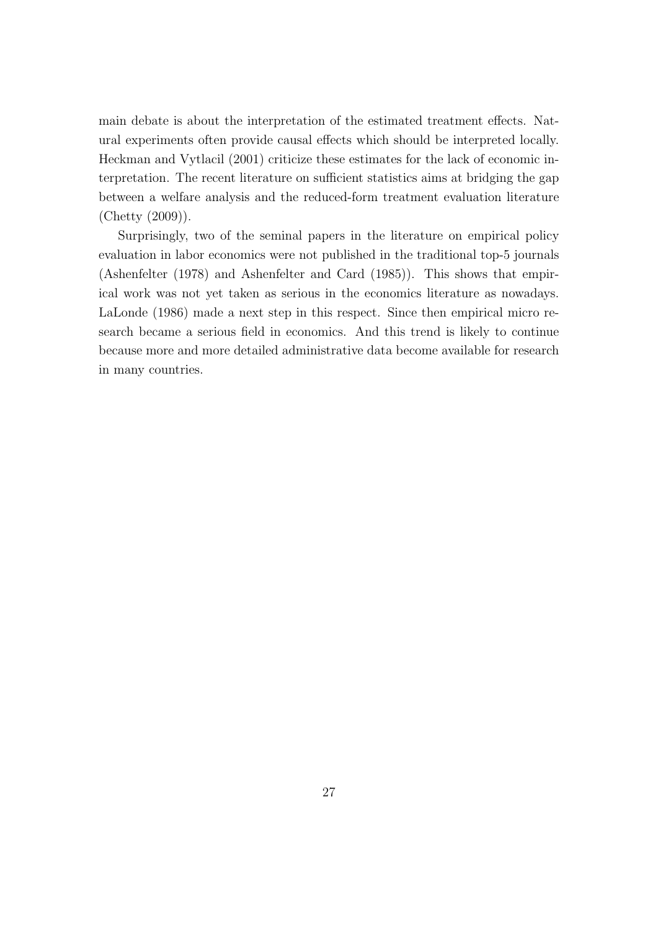main debate is about the interpretation of the estimated treatment effects. Natural experiments often provide causal effects which should be interpreted locally. Heckman and Vytlacil (2001) criticize these estimates for the lack of economic interpretation. The recent literature on sufficient statistics aims at bridging the gap between a welfare analysis and the reduced-form treatment evaluation literature (Chetty (2009)).

Surprisingly, two of the seminal papers in the literature on empirical policy evaluation in labor economics were not published in the traditional top-5 journals (Ashenfelter (1978) and Ashenfelter and Card (1985)). This shows that empirical work was not yet taken as serious in the economics literature as nowadays. LaLonde (1986) made a next step in this respect. Since then empirical micro research became a serious field in economics. And this trend is likely to continue because more and more detailed administrative data become available for research in many countries.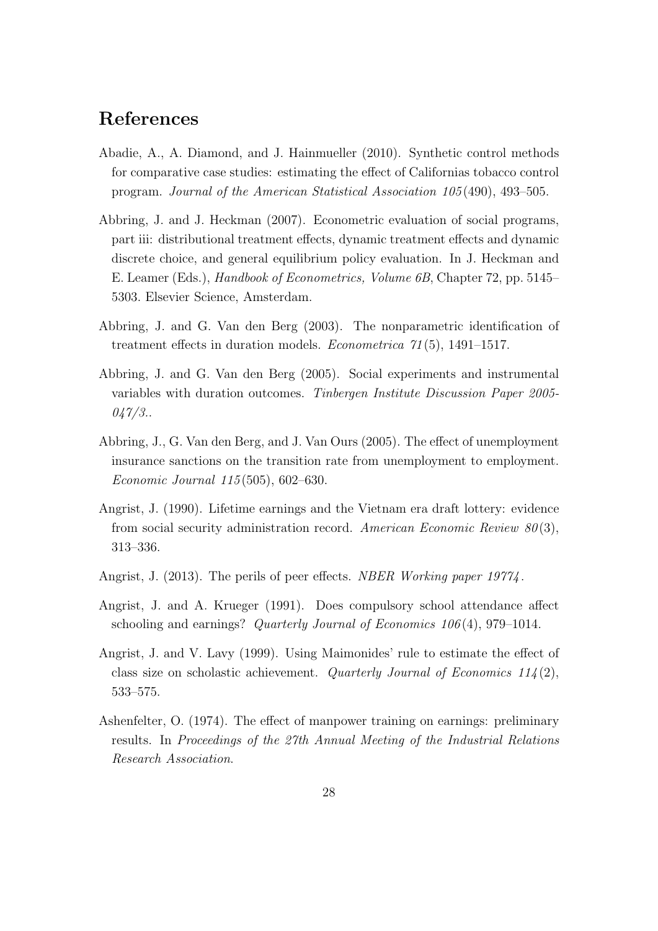## References

- Abadie, A., A. Diamond, and J. Hainmueller (2010). Synthetic control methods for comparative case studies: estimating the effect of Californias tobacco control program. Journal of the American Statistical Association 105 (490), 493–505.
- Abbring, J. and J. Heckman (2007). Econometric evaluation of social programs, part iii: distributional treatment effects, dynamic treatment effects and dynamic discrete choice, and general equilibrium policy evaluation. In J. Heckman and E. Leamer (Eds.), Handbook of Econometrics, Volume 6B, Chapter 72, pp. 5145– 5303. Elsevier Science, Amsterdam.
- Abbring, J. and G. Van den Berg (2003). The nonparametric identification of treatment effects in duration models. Econometrica 71 (5), 1491–1517.
- Abbring, J. and G. Van den Berg (2005). Social experiments and instrumental variables with duration outcomes. Tinbergen Institute Discussion Paper 2005-  $047/3$ .
- Abbring, J., G. Van den Berg, and J. Van Ours (2005). The effect of unemployment insurance sanctions on the transition rate from unemployment to employment. Economic Journal 115 (505), 602–630.
- Angrist, J. (1990). Lifetime earnings and the Vietnam era draft lottery: evidence from social security administration record. American Economic Review  $80(3)$ , 313–336.
- Angrist, J. (2013). The perils of peer effects. *NBER Working paper 19774*.
- Angrist, J. and A. Krueger (1991). Does compulsory school attendance affect schooling and earnings? *Quarterly Journal of Economics 106(4)*, 979–1014.
- Angrist, J. and V. Lavy (1999). Using Maimonides' rule to estimate the effect of class size on scholastic achievement. Quarterly Journal of Economics  $114(2)$ , 533–575.
- Ashenfelter, O. (1974). The effect of manpower training on earnings: preliminary results. In Proceedings of the 27th Annual Meeting of the Industrial Relations Research Association.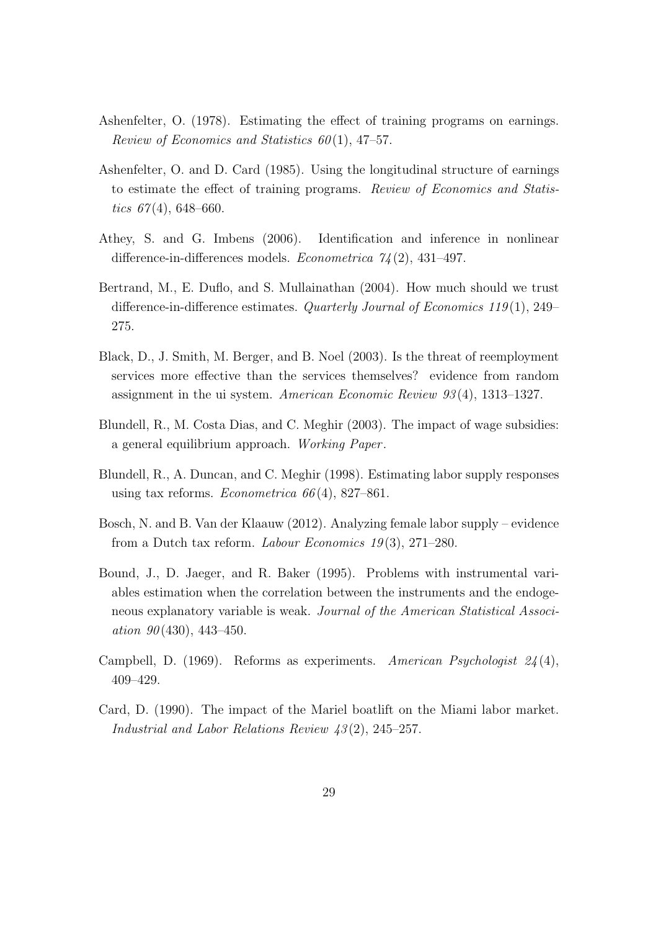- Ashenfelter, O. (1978). Estimating the effect of training programs on earnings. Review of Economics and Statistics  $60(1)$ , 47-57.
- Ashenfelter, O. and D. Card (1985). Using the longitudinal structure of earnings to estimate the effect of training programs. Review of Economics and Statistics  $67(4)$ , 648–660.
- Athey, S. and G. Imbens (2006). Identification and inference in nonlinear difference-in-differences models. *Econometrica*  $\frac{\gamma}{4}(2)$ , 431–497.
- Bertrand, M., E. Duflo, and S. Mullainathan (2004). How much should we trust difference-in-difference estimates. Quarterly Journal of Economics 119(1), 249– 275.
- Black, D., J. Smith, M. Berger, and B. Noel (2003). Is the threat of reemployment services more effective than the services themselves? evidence from random assignment in the ui system. American Economic Review 93 (4), 1313–1327.
- Blundell, R., M. Costa Dias, and C. Meghir (2003). The impact of wage subsidies: a general equilibrium approach. Working Paper .
- Blundell, R., A. Duncan, and C. Meghir (1998). Estimating labor supply responses using tax reforms. Econometrica  $66(4)$ , 827–861.
- Bosch, N. and B. Van der Klaauw (2012). Analyzing female labor supply evidence from a Dutch tax reform. Labour Economics  $19(3)$ , 271–280.
- Bound, J., D. Jaeger, and R. Baker (1995). Problems with instrumental variables estimation when the correlation between the instruments and the endogeneous explanatory variable is weak. Journal of the American Statistical Association  $90(430)$ , 443-450.
- Campbell, D. (1969). Reforms as experiments. American Psychologist  $24(4)$ , 409–429.
- Card, D. (1990). The impact of the Mariel boatlift on the Miami labor market. Industrial and Labor Relations Review 43 (2), 245–257.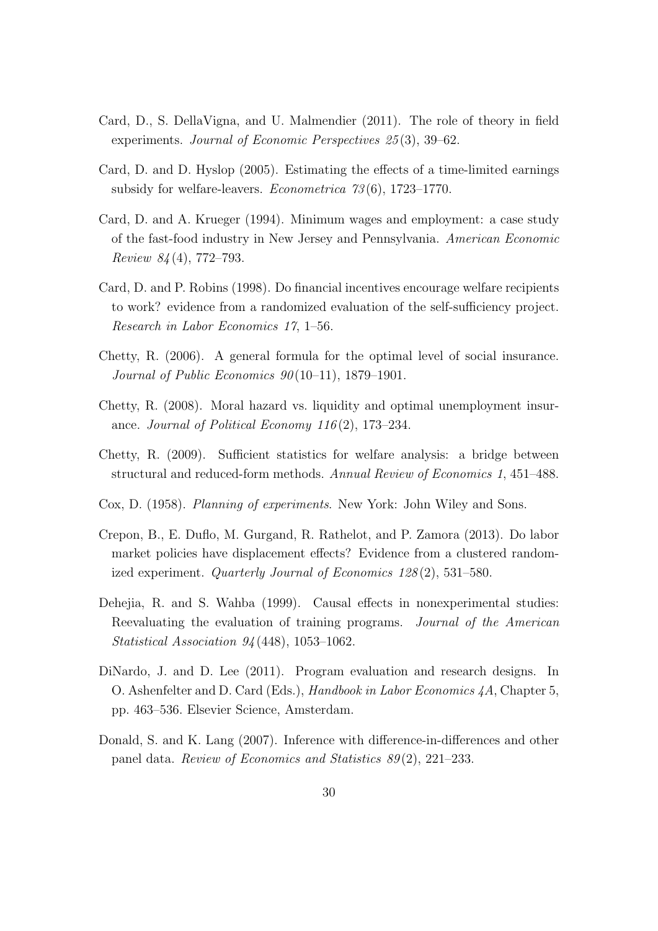- Card, D., S. DellaVigna, and U. Malmendier (2011). The role of theory in field experiments. Journal of Economic Perspectives 25(3), 39–62.
- Card, D. and D. Hyslop (2005). Estimating the effects of a time-limited earnings subsidy for welfare-leavers. Econometrica 73 (6), 1723–1770.
- Card, D. and A. Krueger (1994). Minimum wages and employment: a case study of the fast-food industry in New Jersey and Pennsylvania. American Economic Review 84 (4), 772–793.
- Card, D. and P. Robins (1998). Do financial incentives encourage welfare recipients to work? evidence from a randomized evaluation of the self-sufficiency project. Research in Labor Economics 17, 1–56.
- Chetty, R. (2006). A general formula for the optimal level of social insurance. Journal of Public Economics  $90(10-11)$ , 1879–1901.
- Chetty, R. (2008). Moral hazard vs. liquidity and optimal unemployment insurance. Journal of Political Economy  $116(2)$ , 173–234.
- Chetty, R. (2009). Sufficient statistics for welfare analysis: a bridge between structural and reduced-form methods. Annual Review of Economics 1, 451–488.
- Cox, D. (1958). Planning of experiments. New York: John Wiley and Sons.
- Crepon, B., E. Duflo, M. Gurgand, R. Rathelot, and P. Zamora (2013). Do labor market policies have displacement effects? Evidence from a clustered randomized experiment. Quarterly Journal of Economics 128 (2), 531–580.
- Dehejia, R. and S. Wahba (1999). Causal effects in nonexperimental studies: Reevaluating the evaluation of training programs. Journal of the American Statistical Association 94 (448), 1053–1062.
- DiNardo, J. and D. Lee (2011). Program evaluation and research designs. In O. Ashenfelter and D. Card (Eds.), Handbook in Labor Economics 4A, Chapter 5, pp. 463–536. Elsevier Science, Amsterdam.
- Donald, S. and K. Lang (2007). Inference with difference-in-differences and other panel data. Review of Economics and Statistics 89 (2), 221–233.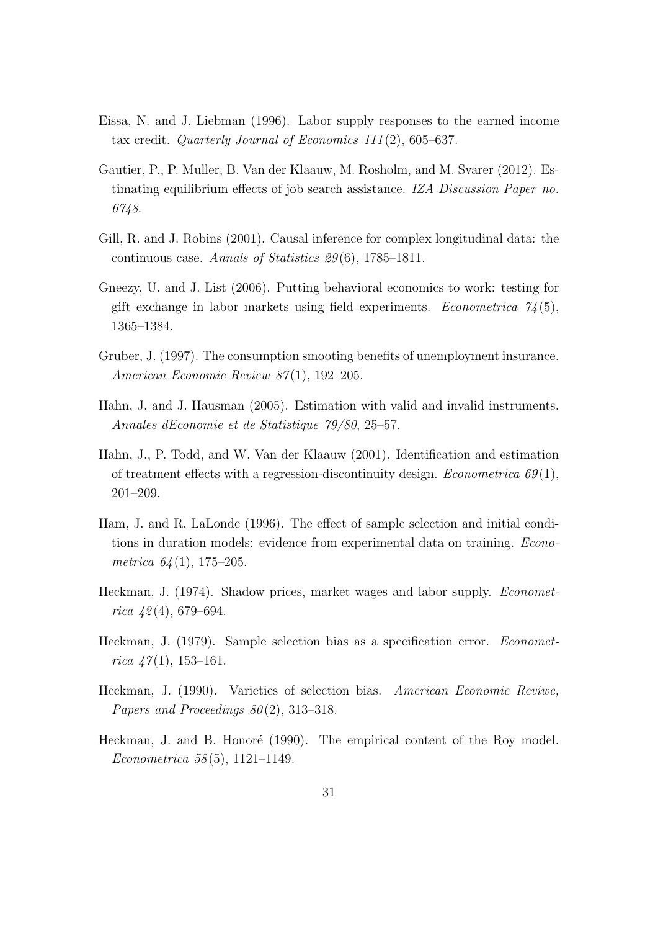- Eissa, N. and J. Liebman (1996). Labor supply responses to the earned income tax credit. Quarterly Journal of Economics  $111(2)$ , 605–637.
- Gautier, P., P. Muller, B. Van der Klaauw, M. Rosholm, and M. Svarer (2012). Estimating equilibrium effects of job search assistance. IZA Discussion Paper no. 6748.
- Gill, R. and J. Robins (2001). Causal inference for complex longitudinal data: the continuous case. Annals of Statistics  $29(6)$ , 1785–1811.
- Gneezy, U. and J. List (2006). Putting behavioral economics to work: testing for gift exchange in labor markets using field experiments. *Econometrica*  $\mathcal{U}(5)$ , 1365–1384.
- Gruber, J. (1997). The consumption smooting benefits of unemployment insurance. American Economic Review 87(1), 192–205.
- Hahn, J. and J. Hausman (2005). Estimation with valid and invalid instruments. Annales dEconomie et de Statistique 79/80, 25–57.
- Hahn, J., P. Todd, and W. Van der Klaauw (2001). Identification and estimation of treatment effects with a regression-discontinuity design. Econometrica  $69(1)$ , 201–209.
- Ham, J. and R. LaLonde (1996). The effect of sample selection and initial conditions in duration models: evidence from experimental data on training. Econometrica  $64(1)$ , 175–205.
- Heckman, J. (1974). Shadow prices, market wages and labor supply. Econometrica  $\mu$ 2(4), 679–694.
- Heckman, J. (1979). Sample selection bias as a specification error. Econometrica  $\frac{1}{7}(1)$ , 153-161.
- Heckman, J. (1990). Varieties of selection bias. American Economic Reviwe, Papers and Proceedings  $80(2)$ , 313–318.
- Heckman, J. and B. Honoré (1990). The empirical content of the Roy model. Econometrica 58 (5), 1121–1149.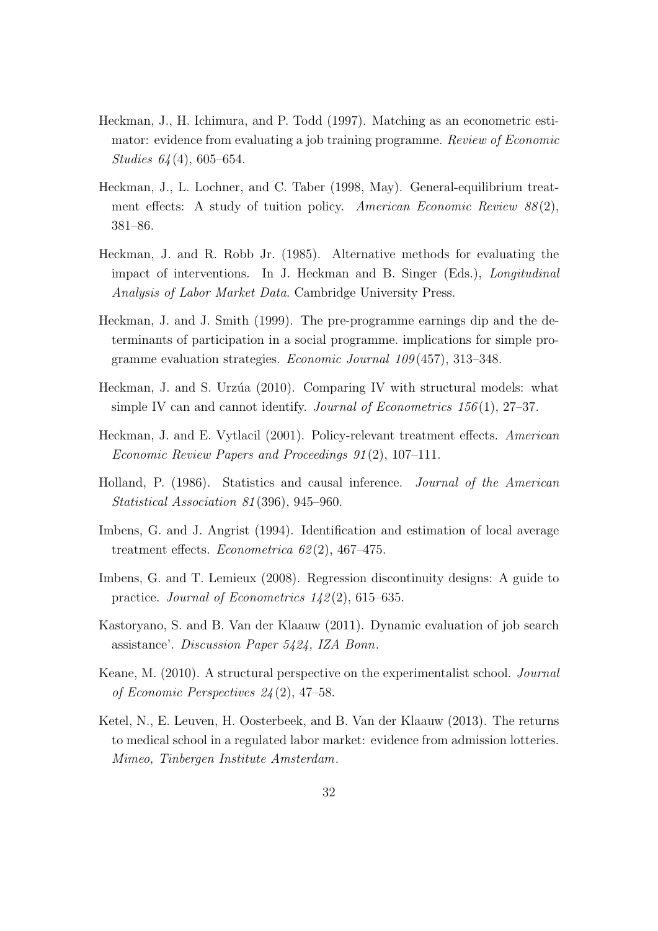- Heckman, J., H. Ichimura, and P. Todd (1997). Matching as an econometric estimator: evidence from evaluating a job training programme. Review of Economic Studies 64 (4), 605–654.
- Heckman, J., L. Lochner, and C. Taber (1998, May). General-equilibrium treatment effects: A study of tuition policy. American Economic Review  $88(2)$ , 381–86.
- Heckman, J. and R. Robb Jr. (1985). Alternative methods for evaluating the impact of interventions. In J. Heckman and B. Singer (Eds.), Longitudinal Analysis of Labor Market Data. Cambridge University Press.
- Heckman, J. and J. Smith (1999). The pre-programme earnings dip and the determinants of participation in a social programme. implications for simple programme evaluation strategies. Economic Journal 109 (457), 313–348.
- Heckman, J. and S. Urzúa (2010). Comparing IV with structural models: what simple IV can and cannot identify. Journal of Econometrics  $156(1)$ ,  $27-37$ .
- Heckman, J. and E. Vytlacil (2001). Policy-relevant treatment effects. American Economic Review Papers and Proceedings 91 (2), 107–111.
- Holland, P. (1986). Statistics and causal inference. Journal of the American Statistical Association 81 (396), 945–960.
- Imbens, G. and J. Angrist (1994). Identification and estimation of local average treatment effects. Econometrica  $62(2)$ , 467-475.
- Imbens, G. and T. Lemieux (2008). Regression discontinuity designs: A guide to practice. Journal of Econometrics 142 (2), 615–635.
- Kastoryano, S. and B. Van der Klaauw (2011). Dynamic evaluation of job search assistance'. Discussion Paper 5424, IZA Bonn.
- Keane, M. (2010). A structural perspective on the experimentalist school. Journal of Economic Perspectives 24 (2), 47–58.
- Ketel, N., E. Leuven, H. Oosterbeek, and B. Van der Klaauw (2013). The returns to medical school in a regulated labor market: evidence from admission lotteries. Mimeo, Tinbergen Institute Amsterdam.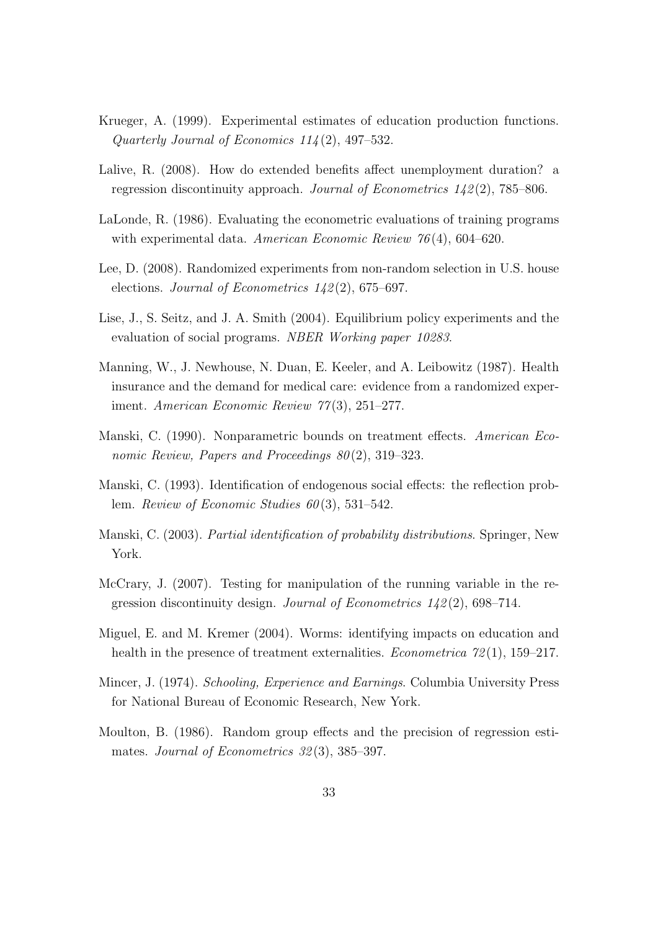- Krueger, A. (1999). Experimental estimates of education production functions. Quarterly Journal of Economics 114 (2), 497–532.
- Lalive, R. (2008). How do extended benefits affect unemployment duration? a regression discontinuity approach. Journal of Econometrics  $142(2)$ , 785–806.
- LaLonde, R. (1986). Evaluating the econometric evaluations of training programs with experimental data. American Economic Review 76(4), 604–620.
- Lee, D. (2008). Randomized experiments from non-random selection in U.S. house elections. Journal of Econometrics 142 (2), 675–697.
- Lise, J., S. Seitz, and J. A. Smith (2004). Equilibrium policy experiments and the evaluation of social programs. NBER Working paper 10283.
- Manning, W., J. Newhouse, N. Duan, E. Keeler, and A. Leibowitz (1987). Health insurance and the demand for medical care: evidence from a randomized experiment. American Economic Review 77(3), 251–277.
- Manski, C. (1990). Nonparametric bounds on treatment effects. American Economic Review, Papers and Proceedings 80(2), 319–323.
- Manski, C. (1993). Identification of endogenous social effects: the reflection problem. Review of Economic Studies  $60(3)$ , 531–542.
- Manski, C. (2003). Partial identification of probability distributions. Springer, New York.
- McCrary, J. (2007). Testing for manipulation of the running variable in the regression discontinuity design. Journal of Econometrics  $142(2)$ , 698–714.
- Miguel, E. and M. Kremer (2004). Worms: identifying impacts on education and health in the presence of treatment externalities. *Econometrica*  $72(1)$ , 159–217.
- Mincer, J. (1974). Schooling, Experience and Earnings. Columbia University Press for National Bureau of Economic Research, New York.
- Moulton, B. (1986). Random group effects and the precision of regression estimates. Journal of Econometrics 32(3), 385–397.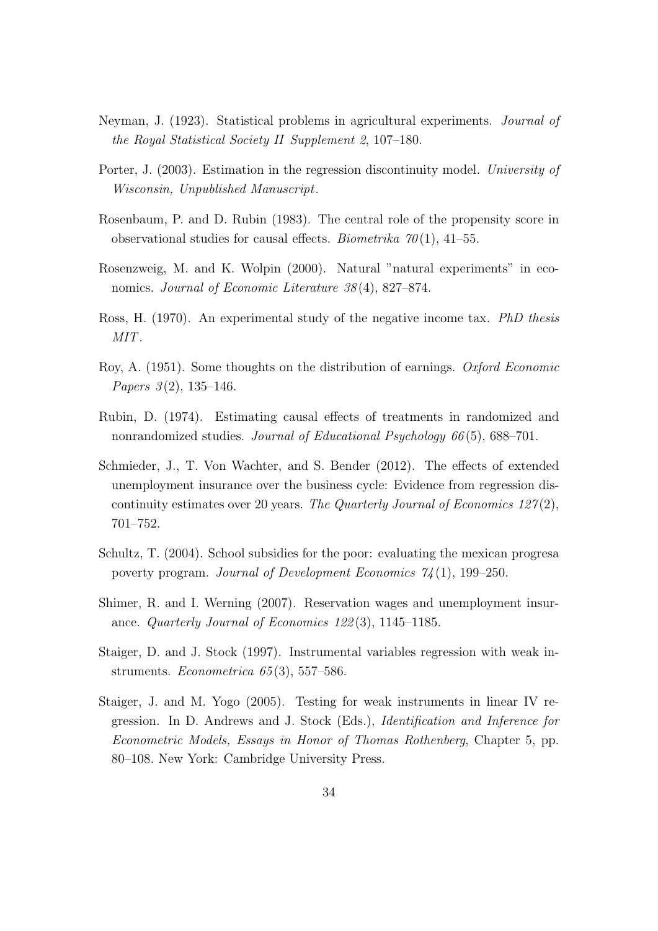- Neyman, J. (1923). Statistical problems in agricultural experiments. Journal of the Royal Statistical Society II Supplement 2, 107–180.
- Porter, J. (2003). Estimation in the regression discontinuity model. University of Wisconsin, Unpublished Manuscript.
- Rosenbaum, P. and D. Rubin (1983). The central role of the propensity score in observational studies for causal effects. *Biometrika*  $70(1)$ , 41–55.
- Rosenzweig, M. and K. Wolpin (2000). Natural "natural experiments" in economics. Journal of Economic Literature 38(4), 827–874.
- Ross, H. (1970). An experimental study of the negative income tax. *PhD thesis* MIT.
- Roy, A. (1951). Some thoughts on the distribution of earnings. Oxford Economic Papers  $3(2)$ , 135-146.
- Rubin, D. (1974). Estimating causal effects of treatments in randomized and nonrandomized studies. Journal of Educational Psychology 66(5), 688–701.
- Schmieder, J., T. Von Wachter, and S. Bender (2012). The effects of extended unemployment insurance over the business cycle: Evidence from regression discontinuity estimates over 20 years. The Quarterly Journal of Economics  $127(2)$ , 701–752.
- Schultz, T. (2004). School subsidies for the poor: evaluating the mexican progresa poverty program. Journal of Development Economics 74 (1), 199–250.
- Shimer, R. and I. Werning (2007). Reservation wages and unemployment insurance. Quarterly Journal of Economics 122 (3), 1145–1185.
- Staiger, D. and J. Stock (1997). Instrumental variables regression with weak instruments. Econometrica  $65(3)$ , 557–586.
- Staiger, J. and M. Yogo (2005). Testing for weak instruments in linear IV regression. In D. Andrews and J. Stock (Eds.), Identification and Inference for Econometric Models, Essays in Honor of Thomas Rothenberg, Chapter 5, pp. 80–108. New York: Cambridge University Press.